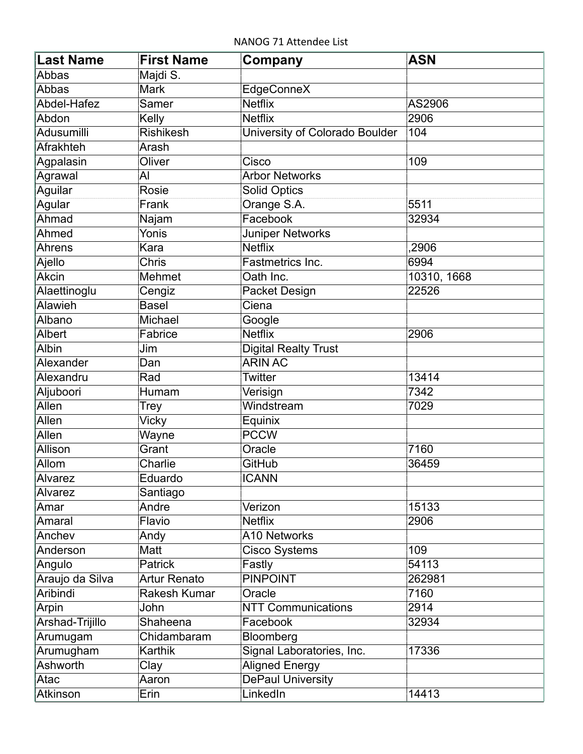NANOG 71 Attendee List

| <b>Last Name</b> | <b>First Name</b>   | Company                        | <b>ASN</b>  |
|------------------|---------------------|--------------------------------|-------------|
| Abbas            | Majdi S.            |                                |             |
| Abbas            | <b>Mark</b>         | EdgeConneX                     |             |
| Abdel-Hafez      | Samer               | <b>Netflix</b>                 | AS2906      |
| Abdon            | Kelly               | <b>Netflix</b>                 | 2906        |
| Adusumilli       | <b>Rishikesh</b>    | University of Colorado Boulder | 104         |
| Afrakhteh        | Arash               |                                |             |
| Agpalasin        | Oliver              | Cisco                          | 109         |
| Agrawal          | Al                  | <b>Arbor Networks</b>          |             |
| Aguilar          | Rosie               | <b>Solid Optics</b>            |             |
| Agular           | Frank               | Orange S.A.                    | 5511        |
| Ahmad            | Najam               | Facebook                       | 32934       |
| Ahmed            | Yonis               | Juniper Networks               |             |
| Ahrens           | Kara                | <b>Netflix</b>                 | ,2906       |
| Ajello           | <b>Chris</b>        | Fastmetrics Inc.               | 6994        |
| <b>Akcin</b>     | Mehmet              | Oath Inc.                      | 10310, 1668 |
| Alaettinoglu     | Cengiz              | Packet Design                  | 22526       |
| Alawieh          | <b>Basel</b>        | Ciena                          |             |
| Albano           | Michael             | Google                         |             |
| Albert           | Fabrice             | <b>Netflix</b>                 | 2906        |
| Albin            | Jim                 | <b>Digital Realty Trust</b>    |             |
| Alexander        | Dan                 | <b>ARIN AC</b>                 |             |
| Alexandru        | Rad                 | Twitter                        | 13414       |
| Aljuboori        | Humam               | Verisign                       | 7342        |
| Allen            | Trey                | Windstream                     | 7029        |
| Allen            | Vicky               | Equinix                        |             |
| Allen            | Wayne               | <b>PCCW</b>                    |             |
| Allison          | Grant               | Oracle                         | 7160        |
| Allom            | Charlie             | GitHub                         | 36459       |
| <b>Alvarez</b>   | Eduardo             | <b>ICANN</b>                   |             |
| <b>Alvarez</b>   | Santiago            |                                |             |
| Amar             | Andre               | Verizon                        | 15133       |
| Amaral           | Flavio              | <b>Netflix</b>                 | 2906        |
| Anchev           | Andy                | <b>A10 Networks</b>            |             |
| Anderson         | Matt                | <b>Cisco Systems</b>           | 109         |
| Angulo           | Patrick             | Fastly                         | 54113       |
| Araujo da Silva  | <b>Artur Renato</b> | <b>PINPOINT</b>                | 262981      |
| Aribindi         | Rakesh Kumar        | Oracle                         | 7160        |
| Arpin            | John                | <b>NTT Communications</b>      | 2914        |
| Arshad-Trijillo  | Shaheena            | Facebook                       | 32934       |
| Arumugam         | Chidambaram         | Bloomberg                      |             |
| Arumugham        | Karthik             | Signal Laboratories, Inc.      | 17336       |
| Ashworth         | Clay                | <b>Aligned Energy</b>          |             |
| Atac             | Aaron               | <b>DePaul University</b>       |             |
| Atkinson         | Erin                | LinkedIn                       | 14413       |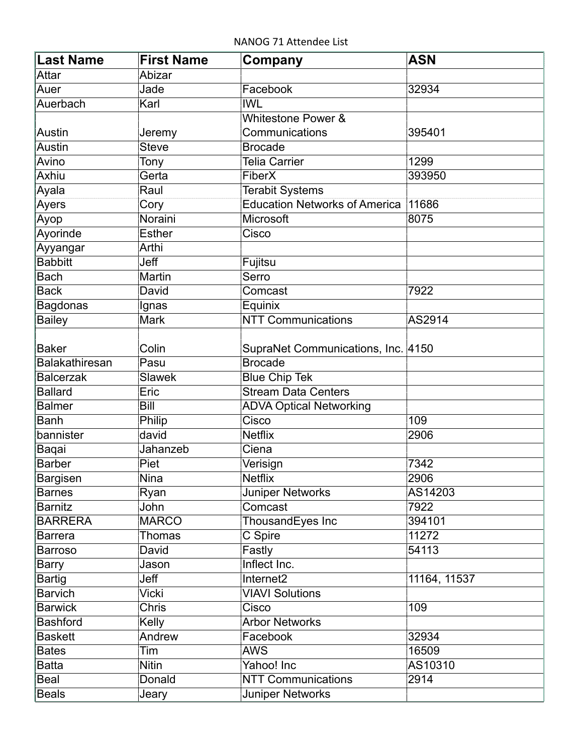NANOG 71 Attendee List

| <b>Last Name</b>      | <b>First Name</b> | Company                              | <b>ASN</b>   |
|-----------------------|-------------------|--------------------------------------|--------------|
| Attar                 | Abizar            |                                      |              |
| Auer                  | Jade              | Facebook                             | 32934        |
| Auerbach              | Karl              | <b>IWL</b>                           |              |
|                       |                   | Whitestone Power &                   |              |
| Austin                | Jeremy            | Communications                       | 395401       |
| <b>Austin</b>         | <b>Steve</b>      | <b>Brocade</b>                       |              |
| Avino                 | Tony              | <b>Telia Carrier</b>                 | 1299         |
| <b>Axhiu</b>          | Gerta             | FiberX                               | 393950       |
| Ayala                 | Raul              | <b>Terabit Systems</b>               |              |
| Ayers                 | Cory              | <b>Education Networks of America</b> | 11686        |
| Ayop                  | Noraini           | Microsoft                            | 8075         |
| Ayorinde              | <b>Esther</b>     | Cisco                                |              |
| Ayyangar              | Arthi             |                                      |              |
| <b>Babbitt</b>        | Jeff              | Fujitsu                              |              |
| <b>Bach</b>           | Martin            | Serro                                |              |
| <b>Back</b>           | David             | Comcast                              | 7922         |
| <b>Bagdonas</b>       | Ignas             | Equinix                              |              |
| <b>Bailey</b>         | <b>Mark</b>       | <b>NTT Communications</b>            | AS2914       |
| <b>Baker</b>          | Colin             | SupraNet Communications, Inc. 4150   |              |
| <b>Balakathiresan</b> | Pasu              | <b>Brocade</b>                       |              |
| <b>Balcerzak</b>      | <b>Slawek</b>     | <b>Blue Chip Tek</b>                 |              |
| <b>Ballard</b>        | Eric              | <b>Stream Data Centers</b>           |              |
| <b>Balmer</b>         | Bill              | <b>ADVA Optical Networking</b>       |              |
| <b>Banh</b>           | Philip            | Cisco                                | 109          |
| bannister             | david             | <b>Netflix</b>                       | 2906         |
| Baqai                 | Jahanzeb          | Ciena                                |              |
| <b>Barber</b>         | Piet              | Verisign                             | 7342         |
| Bargisen              | Nina              | <b>Netflix</b>                       | 2906         |
| <b>Barnes</b>         | Ryan              | Juniper Networks                     | AS14203      |
| <b>Barnitz</b>        | John              | Comcast                              | 7922         |
| <b>BARRERA</b>        | <b>MARCO</b>      | Thousand Eyes Inc                    | 394101       |
| <b>Barrera</b>        | <b>Thomas</b>     | C Spire                              | 11272        |
| Barroso               | David             | Fastly                               | 54113        |
| <b>Barry</b>          | Jason             | Inflect Inc.                         |              |
| <b>Bartig</b>         | Jeff              | Internet <sub>2</sub>                | 11164, 11537 |
| <b>Barvich</b>        | <b>Vicki</b>      | <b>VIAVI Solutions</b>               |              |
| <b>Barwick</b>        | Chris             | Cisco                                | 109          |
| <b>Bashford</b>       | Kelly             | <b>Arbor Networks</b>                |              |
| <b>Baskett</b>        | Andrew            | Facebook                             | 32934        |
| <b>Bates</b>          | Tim               | <b>AWS</b>                           | 16509        |
| <b>Batta</b>          | <b>Nitin</b>      | Yahoo! Inc                           | AS10310      |
| Beal                  | Donald            | <b>NTT Communications</b>            | 2914         |
| <b>Beals</b>          | Jeary             | <b>Juniper Networks</b>              |              |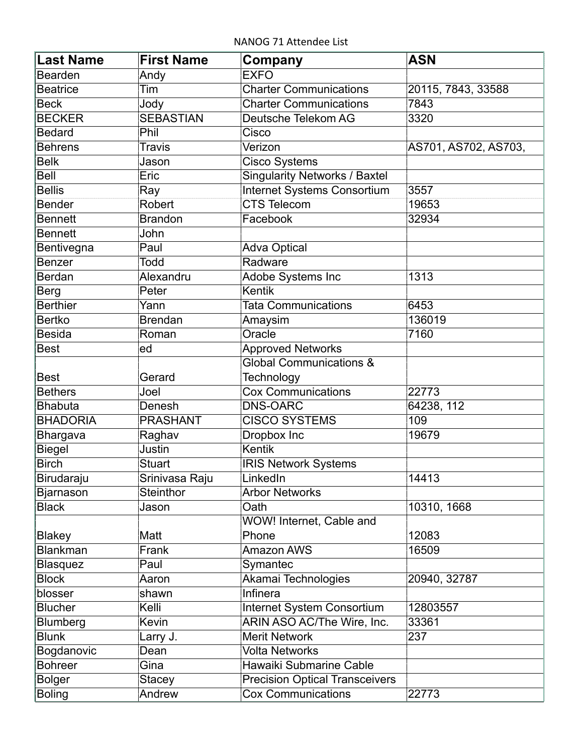NANOG 71 Attendee List

| <b>Last Name</b> | <b>First Name</b> | Company                               | <b>ASN</b>           |
|------------------|-------------------|---------------------------------------|----------------------|
| Bearden          | Andy              | <b>EXFO</b>                           |                      |
| <b>Beatrice</b>  | Tim               | <b>Charter Communications</b>         | 20115, 7843, 33588   |
| <b>Beck</b>      | Jody              | <b>Charter Communications</b>         | 7843                 |
| <b>BECKER</b>    | <b>SEBASTIAN</b>  | Deutsche Telekom AG                   | 3320                 |
| <b>Bedard</b>    | Phil              | Cisco                                 |                      |
| <b>Behrens</b>   | Travis            | Verizon                               | AS701, AS702, AS703, |
| <b>Belk</b>      | Jason             | <b>Cisco Systems</b>                  |                      |
| <b>Bell</b>      | Eric              | <b>Singularity Networks / Baxtel</b>  |                      |
| <b>Bellis</b>    | Ray               | <b>Internet Systems Consortium</b>    | 3557                 |
| <b>Bender</b>    | Robert            | <b>CTS Telecom</b>                    | 19653                |
| <b>Bennett</b>   | <b>Brandon</b>    | Facebook                              | 32934                |
| <b>Bennett</b>   | John              |                                       |                      |
| Bentivegna       | Paul              | <b>Adva Optical</b>                   |                      |
| <b>Benzer</b>    | Todd              | Radware                               |                      |
| <b>Berdan</b>    | Alexandru         | Adobe Systems Inc                     | 1313                 |
| <b>Berg</b>      | Peter             | <b>Kentik</b>                         |                      |
| <b>Berthier</b>  | Yann              | <b>Tata Communications</b>            | 6453                 |
| <b>Bertko</b>    | <b>Brendan</b>    | Amaysim                               | 136019               |
| <b>Besida</b>    | Roman             | Oracle                                | 7160                 |
| <b>Best</b>      | ed                | <b>Approved Networks</b>              |                      |
|                  |                   | <b>Global Communications &amp;</b>    |                      |
| <b>Best</b>      | Gerard            | <b>Technology</b>                     |                      |
| <b>Bethers</b>   | Joel              | <b>Cox Communications</b>             | 22773                |
| <b>Bhabuta</b>   | Denesh            | <b>DNS-OARC</b>                       | 64238, 112           |
| <b>BHADORIA</b>  | <b>PRASHANT</b>   | <b>CISCO SYSTEMS</b>                  | 109                  |
| Bhargava         | Raghav            | Dropbox Inc                           | 19679                |
| <b>Biegel</b>    | Justin            | <b>Kentik</b>                         |                      |
| <b>Birch</b>     | <b>Stuart</b>     | <b>IRIS Network Systems</b>           |                      |
| Birudaraju       | Srinivasa Raju    | LinkedIn                              | 14413                |
| <b>Bjarnason</b> | <b>Steinthor</b>  | <b>Arbor Networks</b>                 |                      |
| <b>Black</b>     | Jason             | Oath                                  | 10310, 1668          |
|                  |                   | WOW! Internet, Cable and              |                      |
| <b>Blakey</b>    | Matt              | Phone                                 | 12083                |
| <b>Blankman</b>  | Frank             | <b>Amazon AWS</b>                     | 16509                |
| <b>Blasquez</b>  | Paul              | Symantec                              |                      |
| <b>Block</b>     | Aaron             | Akamai Technologies                   | 20940, 32787         |
| blosser          | shawn             | Infinera                              |                      |
| <b>Blucher</b>   | Kelli             | Internet System Consortium            | 12803557             |
| Blumberg         | Kevin             | ARIN ASO AC/The Wire, Inc.            | 33361                |
| <b>Blunk</b>     | Larry J.          | <b>Merit Network</b>                  | 237                  |
| Bogdanovic       | Dean              | <b>Volta Networks</b>                 |                      |
| <b>Bohreer</b>   | Gina              | Hawaiki Submarine Cable               |                      |
| <b>Bolger</b>    | Stacey            | <b>Precision Optical Transceivers</b> |                      |
| <b>Boling</b>    | Andrew            | <b>Cox Communications</b>             | 22773                |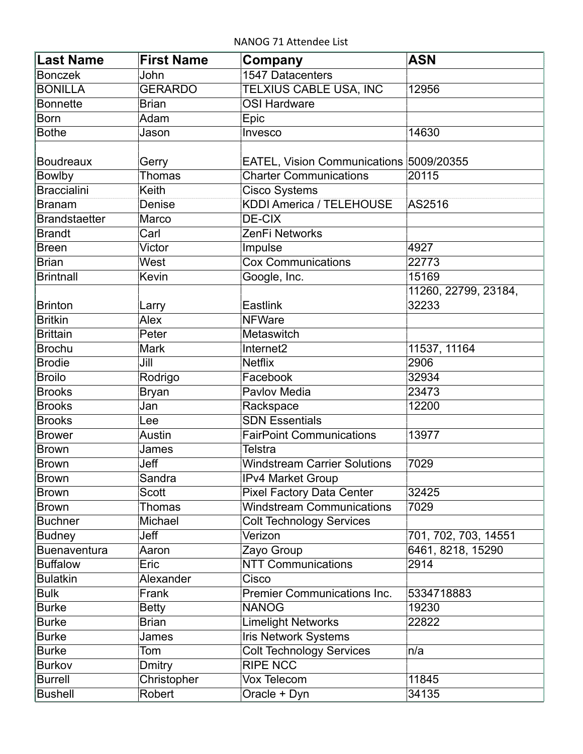NANOG 71 Attendee List

| <b>Last Name</b>     | <b>First Name</b> | Company                                 | <b>ASN</b>           |
|----------------------|-------------------|-----------------------------------------|----------------------|
| <b>Bonczek</b>       | John              | 1547 Datacenters                        |                      |
| <b>BONILLA</b>       | <b>GERARDO</b>    | TELXIUS CABLE USA, INC                  | 12956                |
| <b>Bonnette</b>      | <b>Brian</b>      | <b>OSI Hardware</b>                     |                      |
| <b>Born</b>          | Adam              | Epic                                    |                      |
| <b>Bothe</b>         | Jason             | Invesco                                 | 14630                |
|                      |                   |                                         |                      |
| <b>Boudreaux</b>     | Gerry             | EATEL, Vision Communications 5009/20355 |                      |
| <b>Bowlby</b>        | <b>Thomas</b>     | <b>Charter Communications</b>           | 20115                |
| <b>Braccialini</b>   | Keith             | <b>Cisco Systems</b>                    |                      |
| <b>Branam</b>        | Denise            | <b>KDDI America / TELEHOUSE</b>         | AS2516               |
| <b>Brandstaetter</b> | Marco             | DE-CIX                                  |                      |
| <b>Brandt</b>        | Carl              | ZenFi Networks                          |                      |
| <b>Breen</b>         | Victor            | Impulse                                 | 4927                 |
| <b>Brian</b>         | West              | <b>Cox Communications</b>               | 22773                |
| <b>Brintnall</b>     | Kevin             | Google, Inc.                            | 15169                |
|                      |                   |                                         | 11260, 22799, 23184, |
| <b>Brinton</b>       | Larry             | <b>Eastlink</b>                         | 32233                |
| <b>Britkin</b>       | Alex              | <b>NFWare</b>                           |                      |
| <b>Brittain</b>      | Peter             | Metaswitch                              |                      |
| <b>Brochu</b>        | <b>Mark</b>       | Internet <sub>2</sub>                   | 11537, 11164         |
| <b>Brodie</b>        | Jill              | <b>Netflix</b>                          | 2906                 |
| <b>Broilo</b>        | Rodrigo           | Facebook                                | 32934                |
| <b>Brooks</b>        | <b>Bryan</b>      | Pavlov Media                            | 23473                |
| <b>Brooks</b>        | Jan               | Rackspace                               | 12200                |
| <b>Brooks</b>        | Lee               | <b>SDN Essentials</b>                   |                      |
| <b>Brower</b>        | Austin            | <b>FairPoint Communications</b>         | 13977                |
| <b>Brown</b>         | James             | Telstra                                 |                      |
| <b>Brown</b>         | Jeff              | <b>Windstream Carrier Solutions</b>     | 7029                 |
| Brown                | Sandra            | IPv4 Market Group                       |                      |
| <b>Brown</b>         | <b>Scott</b>      | <b>Pixel Factory Data Center</b>        | 32425                |
| <b>Brown</b>         | Thomas            | <b>Windstream Communications</b>        | 7029                 |
| <b>Buchner</b>       | Michael           | <b>Colt Technology Services</b>         |                      |
| <b>Budney</b>        | Jeff              | Verizon                                 | 701, 702, 703, 14551 |
| <b>Buenaventura</b>  | Aaron             | Zayo Group                              | 6461, 8218, 15290    |
| <b>Buffalow</b>      | Eric              | <b>NTT Communications</b>               | 2914                 |
| <b>Bulatkin</b>      | Alexander         | Cisco                                   |                      |
| <b>Bulk</b>          | Frank             | <b>Premier Communications Inc.</b>      | 5334718883           |
| <b>Burke</b>         | <b>Betty</b>      | <b>NANOG</b>                            | 19230                |
| <b>Burke</b>         | <b>Brian</b>      | <b>Limelight Networks</b>               | 22822                |
| <b>Burke</b>         | James             | <b>Iris Network Systems</b>             |                      |
| <b>Burke</b>         | Tom               | <b>Colt Technology Services</b>         | n/a                  |
| <b>Burkov</b>        | Dmitry            | <b>RIPE NCC</b>                         |                      |
| <b>Burrell</b>       | Christopher       | Vox Telecom                             | 11845                |
| <b>Bushell</b>       | Robert            | Oracle + Dyn                            | 34135                |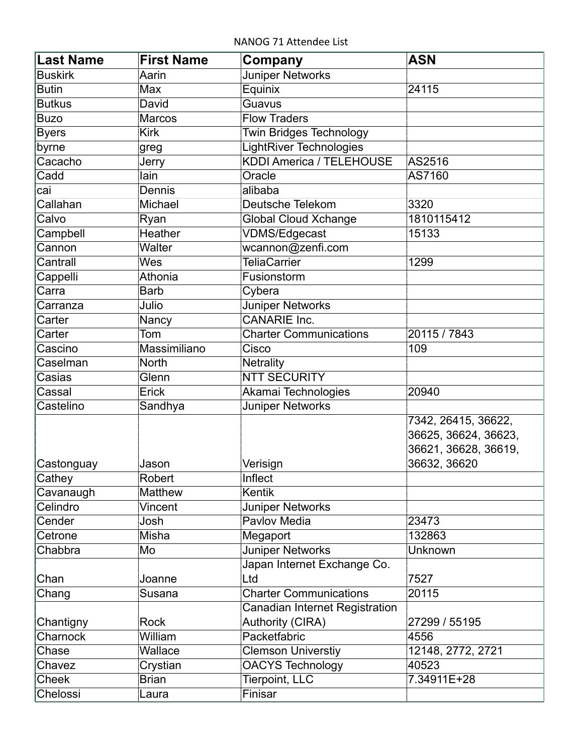NANOG 71 Attendee List

| <b>Last Name</b> | <b>First Name</b> | Company                               | <b>ASN</b>                                  |
|------------------|-------------------|---------------------------------------|---------------------------------------------|
| <b>Buskirk</b>   | Aarin             | <b>Juniper Networks</b>               |                                             |
| <b>Butin</b>     | Max               | Equinix                               | 24115                                       |
| <b>Butkus</b>    | David             | Guavus                                |                                             |
| <b>Buzo</b>      | Marcos            | <b>Flow Traders</b>                   |                                             |
| <b>Byers</b>     | <b>Kirk</b>       | <b>Twin Bridges Technology</b>        |                                             |
| byrne            | greg              | <b>LightRiver Technologies</b>        |                                             |
| Cacacho          | Jerry             | <b>KDDI America / TELEHOUSE</b>       | AS2516                                      |
| Cadd             | lain              | Oracle                                | AS7160                                      |
| cai              | Dennis            | alibaba                               |                                             |
| Callahan         | Michael           | Deutsche Telekom                      | 3320                                        |
| Calvo            | Ryan              | <b>Global Cloud Xchange</b>           | 1810115412                                  |
| Campbell         | Heather           | VDMS/Edgecast                         | 15133                                       |
| Cannon           | Walter            | wcannon@zenfi.com                     |                                             |
| Cantrall         | Wes               | <b>TeliaCarrier</b>                   | 1299                                        |
| Cappelli         | Athonia           | Fusionstorm                           |                                             |
| Carra            | <b>Barb</b>       | Cybera                                |                                             |
| Carranza         | Julio             | Juniper Networks                      |                                             |
| Carter           | Nancy             | <b>CANARIE Inc.</b>                   |                                             |
| Carter           | Tom               | <b>Charter Communications</b>         | 20115 / 7843                                |
| Cascino          | Massimiliano      | Cisco                                 | 109                                         |
| Caselman         | <b>North</b>      | Netrality                             |                                             |
| Casias           | Glenn             | <b>NTT SECURITY</b>                   |                                             |
| Cassal           | Erick             | Akamai Technologies                   | 20940                                       |
| Castelino        | Sandhya           | Juniper Networks                      |                                             |
|                  |                   |                                       | 7342, 26415, 36622,<br>36625, 36624, 36623, |
|                  |                   |                                       | 36621, 36628, 36619,                        |
| Castonguay       | Jason             | Verisign                              | 36632, 36620                                |
| Cathey           | Robert            | Inflect                               |                                             |
| Cavanaugh        | Matthew           | <b>Kentik</b>                         |                                             |
| Celindro         | Vincent           | <b>Juniper Networks</b>               |                                             |
| Cender           | Josh              | <b>Pavlov Media</b>                   | 23473                                       |
| Cetrone          | Misha             | Megaport                              | 132863                                      |
| Chabbra          | Mo                | <b>Juniper Networks</b>               | Unknown                                     |
|                  |                   | Japan Internet Exchange Co.           |                                             |
| Chan             | Joanne            | Ltd                                   | 7527                                        |
| Chang            | Susana            | <b>Charter Communications</b>         | 20115                                       |
|                  |                   | <b>Canadian Internet Registration</b> |                                             |
| Chantigny        | Rock              | Authority (CIRA)                      | 27299 / 55195                               |
| Charnock         | William           | Packetfabric                          | 4556                                        |
| Chase            | Wallace           | <b>Clemson Universtiy</b>             | 12148, 2772, 2721                           |
| Chavez           | Crystian          | <b>OACYS Technology</b>               | 40523                                       |
| Cheek            | <b>Brian</b>      | Tierpoint, LLC                        | 7.34911E+28                                 |
| Chelossi         | Laura             | Finisar                               |                                             |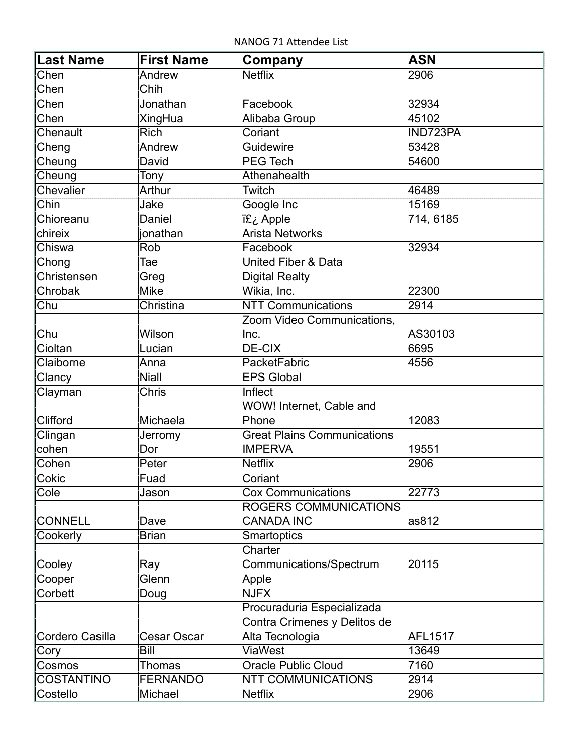NANOG 71 Attendee List

| <b>Last Name</b>                                                                                                                                                                                   | <b>First Name</b>                                                                                                                               | Company                                                                                                                                                                                                                                                                                                                                                                                                                                            | <b>ASN</b>                                                         |
|----------------------------------------------------------------------------------------------------------------------------------------------------------------------------------------------------|-------------------------------------------------------------------------------------------------------------------------------------------------|----------------------------------------------------------------------------------------------------------------------------------------------------------------------------------------------------------------------------------------------------------------------------------------------------------------------------------------------------------------------------------------------------------------------------------------------------|--------------------------------------------------------------------|
| Chen                                                                                                                                                                                               | Andrew                                                                                                                                          | <b>Netflix</b>                                                                                                                                                                                                                                                                                                                                                                                                                                     | 2906                                                               |
| Chen                                                                                                                                                                                               | Chih                                                                                                                                            |                                                                                                                                                                                                                                                                                                                                                                                                                                                    |                                                                    |
| Chen                                                                                                                                                                                               | Jonathan                                                                                                                                        | Facebook                                                                                                                                                                                                                                                                                                                                                                                                                                           | 32934                                                              |
| Chen                                                                                                                                                                                               | <b>XingHua</b>                                                                                                                                  | Alibaba Group                                                                                                                                                                                                                                                                                                                                                                                                                                      | 45102                                                              |
| Chenault                                                                                                                                                                                           | <b>Rich</b>                                                                                                                                     | Coriant                                                                                                                                                                                                                                                                                                                                                                                                                                            | IND723PA                                                           |
| Cheng                                                                                                                                                                                              | Andrew                                                                                                                                          | Guidewire                                                                                                                                                                                                                                                                                                                                                                                                                                          | 53428                                                              |
| Cheung                                                                                                                                                                                             | David                                                                                                                                           | <b>PEG Tech</b>                                                                                                                                                                                                                                                                                                                                                                                                                                    | 54600                                                              |
| Cheung                                                                                                                                                                                             | Tony                                                                                                                                            | Athenahealth                                                                                                                                                                                                                                                                                                                                                                                                                                       |                                                                    |
| Chevalier                                                                                                                                                                                          | Arthur                                                                                                                                          | Twitch                                                                                                                                                                                                                                                                                                                                                                                                                                             | 46489                                                              |
| Chin                                                                                                                                                                                               | Jake                                                                                                                                            | Google Inc                                                                                                                                                                                                                                                                                                                                                                                                                                         | 15169                                                              |
| Chioreanu                                                                                                                                                                                          | Daniel                                                                                                                                          | i£ز Apple                                                                                                                                                                                                                                                                                                                                                                                                                                          | 714, 6185                                                          |
| chireix                                                                                                                                                                                            | jonathan                                                                                                                                        | <b>Arista Networks</b>                                                                                                                                                                                                                                                                                                                                                                                                                             |                                                                    |
| Chiswa                                                                                                                                                                                             | Rob                                                                                                                                             | Facebook                                                                                                                                                                                                                                                                                                                                                                                                                                           | 32934                                                              |
| Chong                                                                                                                                                                                              | Tae                                                                                                                                             | <b>United Fiber &amp; Data</b>                                                                                                                                                                                                                                                                                                                                                                                                                     |                                                                    |
| Christensen                                                                                                                                                                                        | Greg                                                                                                                                            |                                                                                                                                                                                                                                                                                                                                                                                                                                                    |                                                                    |
| Chrobak                                                                                                                                                                                            | <b>Mike</b>                                                                                                                                     | Wikia, Inc.                                                                                                                                                                                                                                                                                                                                                                                                                                        | 22300                                                              |
| Chu                                                                                                                                                                                                | Christina                                                                                                                                       | <b>NTT Communications</b>                                                                                                                                                                                                                                                                                                                                                                                                                          | 2914                                                               |
|                                                                                                                                                                                                    |                                                                                                                                                 |                                                                                                                                                                                                                                                                                                                                                                                                                                                    |                                                                    |
| Chu                                                                                                                                                                                                | Wilson                                                                                                                                          | Inc.                                                                                                                                                                                                                                                                                                                                                                                                                                               | AS30103                                                            |
| Cioltan                                                                                                                                                                                            | Lucian                                                                                                                                          | <b>DE-CIX</b>                                                                                                                                                                                                                                                                                                                                                                                                                                      | 6695                                                               |
| Claiborne                                                                                                                                                                                          | Anna                                                                                                                                            | <b>PacketFabric</b>                                                                                                                                                                                                                                                                                                                                                                                                                                | 4556                                                               |
|                                                                                                                                                                                                    | <b>Niall</b>                                                                                                                                    | <b>EPS Global</b>                                                                                                                                                                                                                                                                                                                                                                                                                                  |                                                                    |
|                                                                                                                                                                                                    | Chris                                                                                                                                           | Inflect                                                                                                                                                                                                                                                                                                                                                                                                                                            |                                                                    |
|                                                                                                                                                                                                    |                                                                                                                                                 |                                                                                                                                                                                                                                                                                                                                                                                                                                                    |                                                                    |
| Clifford                                                                                                                                                                                           | Michaela                                                                                                                                        | Phone                                                                                                                                                                                                                                                                                                                                                                                                                                              | 12083                                                              |
|                                                                                                                                                                                                    |                                                                                                                                                 |                                                                                                                                                                                                                                                                                                                                                                                                                                                    |                                                                    |
|                                                                                                                                                                                                    | Dor                                                                                                                                             | <b>IMPERVA</b>                                                                                                                                                                                                                                                                                                                                                                                                                                     | 19551                                                              |
|                                                                                                                                                                                                    |                                                                                                                                                 | <b>Netflix</b>                                                                                                                                                                                                                                                                                                                                                                                                                                     |                                                                    |
|                                                                                                                                                                                                    |                                                                                                                                                 |                                                                                                                                                                                                                                                                                                                                                                                                                                                    |                                                                    |
|                                                                                                                                                                                                    |                                                                                                                                                 |                                                                                                                                                                                                                                                                                                                                                                                                                                                    |                                                                    |
|                                                                                                                                                                                                    |                                                                                                                                                 |                                                                                                                                                                                                                                                                                                                                                                                                                                                    |                                                                    |
|                                                                                                                                                                                                    |                                                                                                                                                 |                                                                                                                                                                                                                                                                                                                                                                                                                                                    |                                                                    |
|                                                                                                                                                                                                    |                                                                                                                                                 |                                                                                                                                                                                                                                                                                                                                                                                                                                                    |                                                                    |
|                                                                                                                                                                                                    |                                                                                                                                                 | Charter                                                                                                                                                                                                                                                                                                                                                                                                                                            |                                                                    |
|                                                                                                                                                                                                    |                                                                                                                                                 |                                                                                                                                                                                                                                                                                                                                                                                                                                                    |                                                                    |
|                                                                                                                                                                                                    |                                                                                                                                                 |                                                                                                                                                                                                                                                                                                                                                                                                                                                    |                                                                    |
|                                                                                                                                                                                                    |                                                                                                                                                 |                                                                                                                                                                                                                                                                                                                                                                                                                                                    |                                                                    |
|                                                                                                                                                                                                    |                                                                                                                                                 |                                                                                                                                                                                                                                                                                                                                                                                                                                                    |                                                                    |
|                                                                                                                                                                                                    |                                                                                                                                                 |                                                                                                                                                                                                                                                                                                                                                                                                                                                    |                                                                    |
|                                                                                                                                                                                                    |                                                                                                                                                 |                                                                                                                                                                                                                                                                                                                                                                                                                                                    |                                                                    |
|                                                                                                                                                                                                    | Bill                                                                                                                                            | ViaWest                                                                                                                                                                                                                                                                                                                                                                                                                                            | 13649                                                              |
|                                                                                                                                                                                                    |                                                                                                                                                 |                                                                                                                                                                                                                                                                                                                                                                                                                                                    |                                                                    |
|                                                                                                                                                                                                    |                                                                                                                                                 |                                                                                                                                                                                                                                                                                                                                                                                                                                                    |                                                                    |
|                                                                                                                                                                                                    |                                                                                                                                                 |                                                                                                                                                                                                                                                                                                                                                                                                                                                    |                                                                    |
| Clancy<br>Clayman<br>Clingan<br>cohen<br>Cohen<br>Cokic<br>Cole<br><b>CONNELL</b><br>Cookerly<br>Cooley<br>Cooper<br>Corbett<br>Cordero Casilla<br>Cory<br>Cosmos<br><b>COSTANTINO</b><br>Costello | Jerromy<br>Peter<br>Fuad<br>Jason<br>Dave<br><b>Brian</b><br>Ray<br>Glenn<br>Doug<br><b>Cesar Oscar</b><br>Thomas<br><b>FERNANDO</b><br>Michael | <b>Digital Realty</b><br>Zoom Video Communications,<br>WOW! Internet, Cable and<br><b>Great Plains Communications</b><br>Coriant<br><b>Cox Communications</b><br>ROGERS COMMUNICATIONS<br><b>CANADA INC</b><br><b>Smartoptics</b><br>Communications/Spectrum<br>Apple<br><b>NJFX</b><br>Procuraduria Especializada<br>Contra Crimenes y Delitos de<br>Alta Tecnologia<br><b>Oracle Public Cloud</b><br><b>NTT COMMUNICATIONS</b><br><b>Netflix</b> | 2906<br>22773<br>as812<br>20115<br>AFL1517<br>7160<br>2914<br>2906 |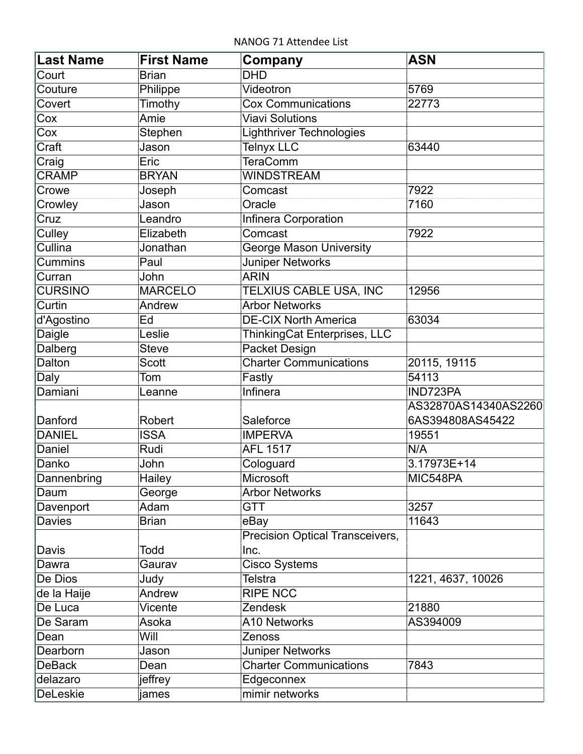NANOG 71 Attendee List

| <b>Last Name</b> | <b>First Name</b> | Company                             | <b>ASN</b>           |
|------------------|-------------------|-------------------------------------|----------------------|
| Court            | <b>Brian</b>      | <b>DHD</b>                          |                      |
| Couture          | Philippe          | Videotron                           | 5769                 |
| Covert           | Timothy           | <b>Cox Communications</b>           | 22773                |
| Cox              | Amie              | <b>Viavi Solutions</b>              |                      |
| Cox              | Stephen           | Lighthriver Technologies            |                      |
| Craft            | Jason             | <b>Telnyx LLC</b>                   | 63440                |
| Craig            | Eric              | <b>TeraComm</b>                     |                      |
| <b>CRAMP</b>     | <b>BRYAN</b>      | <b>WINDSTREAM</b>                   |                      |
| Crowe            | Joseph            | Comcast                             | 7922                 |
| Crowley          | Jason             | Oracle                              | 7160                 |
| Cruz             | Leandro           | Infinera Corporation                |                      |
| Culley           | Elizabeth         | Comcast                             | 7922                 |
| Cullina          | Jonathan          | George Mason University             |                      |
| <b>Cummins</b>   | Paul              | Juniper Networks                    |                      |
| Curran           | John              | <b>ARIN</b>                         |                      |
| <b>CURSINO</b>   | <b>MARCELO</b>    | <b>TELXIUS CABLE USA, INC</b>       | 12956                |
| Curtin           | Andrew            | <b>Arbor Networks</b>               |                      |
| d'Agostino       | Ed                | <b>DE-CIX North America</b>         | 63034                |
| Daigle           | Leslie            | <b>ThinkingCat Enterprises, LLC</b> |                      |
| Dalberg          | <b>Steve</b>      | Packet Design                       |                      |
| Dalton           | <b>Scott</b>      | <b>Charter Communications</b>       | 20115, 19115         |
| Daly             | Tom               | Fastly                              | 54113                |
| Damiani          | Leanne            | Infinera                            | IND723PA             |
|                  |                   |                                     | AS32870AS14340AS2260 |
| Danford          | Robert            | Saleforce                           | 6AS394808AS45422     |
| <b>DANIEL</b>    | <b>ISSA</b>       | <b>IMPERVA</b>                      | 19551                |
| Daniel           | Rudi              | <b>AFL 1517</b>                     | N/A                  |
| Danko            | John              | Cologuard                           | 3.17973E+14          |
| Dannenbring      | <b>Hailey</b>     | Microsoft                           | MIC548PA             |
| Daum             | George            | <b>Arbor Networks</b>               |                      |
| Davenport        | Adam              | GTT                                 | 3257                 |
| <b>Davies</b>    | <b>Brian</b>      | eBay                                | 11643                |
|                  |                   | Precision Optical Transceivers,     |                      |
| Davis            | Todd              | Inc.                                |                      |
| Dawra            | Gaurav            | Cisco Systems                       |                      |
| De Dios          | Judy              | <b>Telstra</b>                      | 1221, 4637, 10026    |
| de la Haije      | Andrew            | <b>RIPE NCC</b>                     |                      |
| De Luca          | Vicente           | Zendesk                             | 21880                |
| De Saram         | Asoka             | <b>A10 Networks</b>                 | AS394009             |
| Dean             | Will              | Zenoss                              |                      |
| Dearborn         | Jason             | Juniper Networks                    |                      |
| <b>DeBack</b>    | Dean              | <b>Charter Communications</b>       | 7843                 |
| delazaro         | jeffrey           | Edgeconnex                          |                      |
| <b>DeLeskie</b>  | james             | mimir networks                      |                      |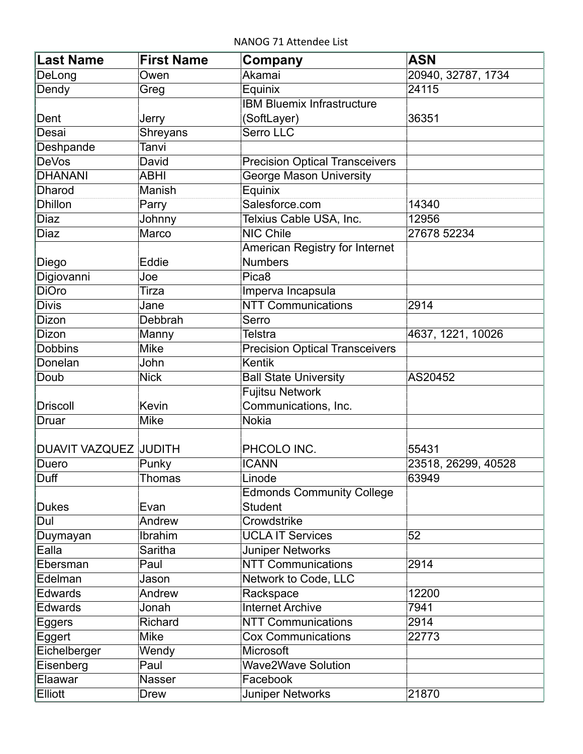NANOG 71 Attendee List

| Last Name             | <b>First Name</b> | Company                               | <b>ASN</b>          |
|-----------------------|-------------------|---------------------------------------|---------------------|
| DeLong                | Owen              | <b>Akamai</b>                         | 20940, 32787, 1734  |
| Dendy                 | Greg              | Equinix                               | 24115               |
|                       |                   | <b>IBM Bluemix Infrastructure</b>     |                     |
| Dent                  | Jerry             | (SoftLayer)                           | 36351               |
| Desai                 | <b>Shreyans</b>   | Serro LLC                             |                     |
| Deshpande             | Tanvi             |                                       |                     |
| <b>DeVos</b>          | David             | <b>Precision Optical Transceivers</b> |                     |
| <b>DHANANI</b>        | <b>ABHI</b>       | George Mason University               |                     |
| <b>Dharod</b>         | Manish            | Equinix                               |                     |
| <b>Dhillon</b>        | Parry             | Salesforce.com                        | 14340               |
| <b>Diaz</b>           | Johnny            | Telxius Cable USA, Inc.               | 12956               |
| Diaz                  | Marco             | <b>NIC Chile</b>                      | 27678 52234         |
|                       |                   | American Registry for Internet        |                     |
| Diego                 | Eddie             | <b>Numbers</b>                        |                     |
| Digiovanni            | Joe               | Pica <sub>8</sub>                     |                     |
| <b>DiOro</b>          | Tirza             | Imperva Incapsula                     |                     |
| <b>Divis</b>          | Jane              | <b>NTT Communications</b>             | 2914                |
| Dizon                 | Debbrah           | Serro                                 |                     |
| Dizon                 | Manny             | <b>Telstra</b>                        | 4637, 1221, 10026   |
| <b>Dobbins</b>        | <b>Mike</b>       | <b>Precision Optical Transceivers</b> |                     |
| Donelan               | John              | <b>Kentik</b>                         |                     |
| Doub                  | <b>Nick</b>       | <b>Ball State University</b>          | AS20452             |
|                       |                   | <b>Fujitsu Network</b>                |                     |
| <b>Driscoll</b>       | Kevin             | Communications, Inc.                  |                     |
| Druar                 | <b>Mike</b>       | <b>Nokia</b>                          |                     |
|                       |                   |                                       |                     |
| DUAVIT VAZQUEZ JUDITH |                   | PHCOLO INC.                           | 55431               |
| Duero                 | Punky             | <b>ICANN</b>                          | 23518, 26299, 40528 |
| Duff                  | <b>Thomas</b>     | Linode                                | 63949               |
|                       |                   | <b>Edmonds Community College</b>      |                     |
| Dukes                 | Evan              | <b>Student</b>                        |                     |
| Dul                   | Andrew            | Crowdstrike                           |                     |
| Duymayan              | Ibrahim           | <b>UCLA IT Services</b>               | 52                  |
| Ealla                 | Saritha           | Juniper Networks                      |                     |
| Ebersman              | Paul              | <b>NTT Communications</b>             | 2914                |
| Edelman               | Jason             | Network to Code, LLC                  |                     |
| Edwards               | Andrew            | Rackspace                             | 12200               |
| <b>Edwards</b>        | Jonah             | <b>Internet Archive</b>               | 7941                |
| Eggers                | Richard           | <b>NTT Communications</b>             | 2914                |
| Eggert                | <b>Mike</b>       | <b>Cox Communications</b>             | 22773               |
| Eichelberger          | Wendy             | Microsoft                             |                     |
| Eisenberg             | Paul              | Wave2Wave Solution                    |                     |
| Elaawar               | Nasser            | Facebook                              |                     |
| Elliott               | <b>Drew</b>       | Juniper Networks                      | 21870               |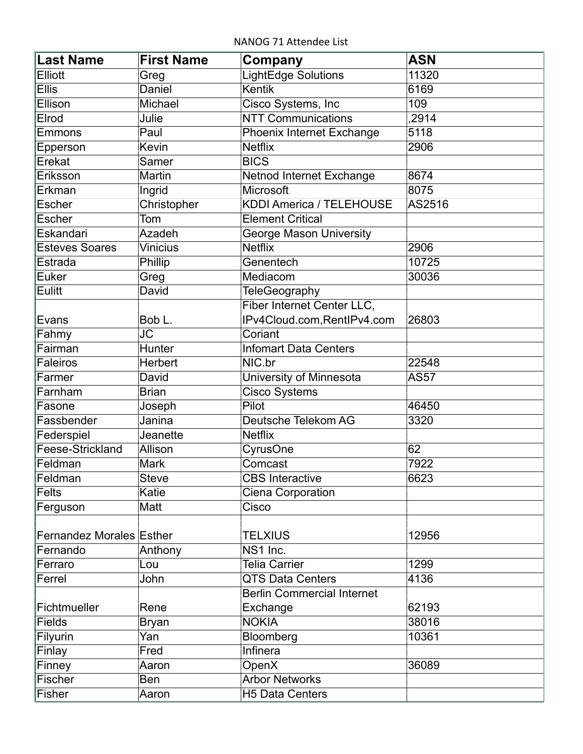NANOG 71 Attendee List

| <b>Last Name</b>                | <b>First Name</b>      | Company                           | <b>ASN</b>  |
|---------------------------------|------------------------|-----------------------------------|-------------|
| Elliott                         | Greg                   | LightEdge Solutions               | 11320       |
| <b>Ellis</b>                    | Daniel                 | <b>Kentik</b>                     | 6169        |
| Ellison                         | Michael                | Cisco Systems, Inc.               | 109         |
| Elrod                           | Julie                  | <b>NTT Communications</b>         | ,2914       |
| Emmons                          | Paul                   | Phoenix Internet Exchange         | 5118        |
| Epperson                        | Kevin                  | <b>Netflix</b>                    | 2906        |
| Erekat                          | Samer                  | <b>BICS</b>                       |             |
| Eriksson                        | Martin                 | Netnod Internet Exchange          | 8674        |
| Erkman                          | Ingrid                 | Microsoft                         | 8075        |
| <b>Escher</b>                   | Christopher            | <b>KDDI America / TELEHOUSE</b>   | AS2516      |
| Escher                          | Tom                    | <b>Element Critical</b>           |             |
| Eskandari                       | Azadeh                 | George Mason University           |             |
| <b>Esteves Soares</b>           | <b>Vinicius</b>        | <b>Netflix</b>                    | 2906        |
| Estrada                         | Phillip                | Genentech                         | 10725       |
| Euker                           | Greg                   | Mediacom                          | 30036       |
| Eulitt                          | David                  | <b>TeleGeography</b>              |             |
|                                 |                        | Fiber Internet Center LLC,        |             |
| Evans                           | Bob L.                 | IPv4Cloud.com, RentlPv4.com       | 26803       |
| Fahmy                           | $\overline{\text{JC}}$ | Coriant                           |             |
| Fairman                         | Hunter                 | <b>Infomart Data Centers</b>      |             |
| <b>Faleiros</b>                 | Herbert                | NIC.br                            | 22548       |
| Farmer                          | David                  | University of Minnesota           | <b>AS57</b> |
| Farnham                         | <b>Brian</b>           | <b>Cisco Systems</b>              |             |
| Fasone                          | Joseph                 | Pilot                             | 46450       |
| Fassbender                      | Janina                 | Deutsche Telekom AG               | 3320        |
| Federspiel                      | Jeanette               | <b>Netflix</b>                    |             |
| Feese-Strickland                | Allison                | CyrusOne                          | 62          |
| Feldman                         | Mark                   | Comcast                           | 7922        |
| Feldman                         | <b>Steve</b>           | <b>CBS</b> Interactive            | 6623        |
| Felts                           | Katie                  | Ciena Corporation                 |             |
| Ferguson                        | Matt                   | Cisco                             |             |
| <b>Fernandez Morales Esther</b> |                        | <b>TELXIUS</b>                    | 12956       |
| Fernando                        | Anthony                | NS1 Inc.                          |             |
| Ferraro                         | Lou                    | <b>Telia Carrier</b>              | 1299        |
| Ferrel                          | John                   | <b>QTS Data Centers</b>           | 4136        |
|                                 |                        | <b>Berlin Commercial Internet</b> |             |
| Fichtmueller                    | Rene                   | Exchange                          | 62193       |
| Fields                          | <b>Bryan</b>           | <b>NOKIA</b>                      | 38016       |
| Filyurin                        | Yan                    | Bloomberg                         | 10361       |
| Finlay                          | Fred                   | <b>Infinera</b>                   |             |
| Finney                          | Aaron                  | OpenX                             | 36089       |
| Fischer                         | Ben                    | <b>Arbor Networks</b>             |             |
| Fisher                          | Aaron                  | <b>H5 Data Centers</b>            |             |
|                                 |                        |                                   |             |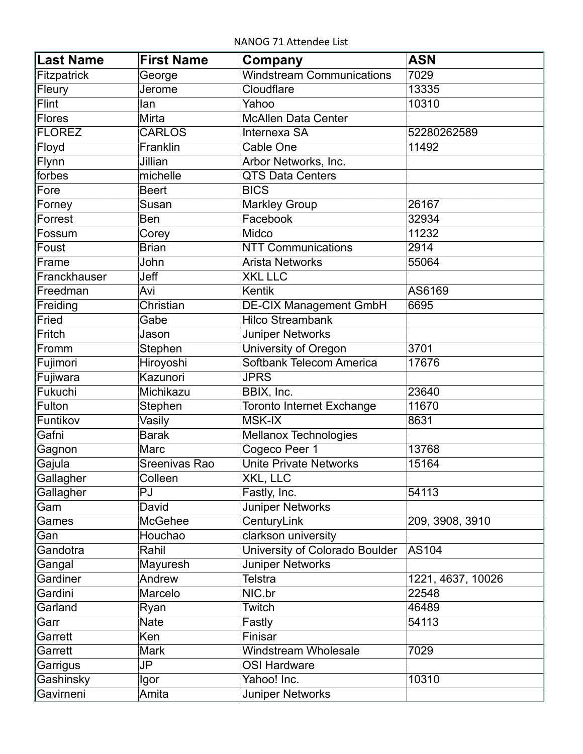NANOG 71 Attendee List

| <b>Last Name</b> | <b>First Name</b> | Company                          | <b>ASN</b>        |
|------------------|-------------------|----------------------------------|-------------------|
| Fitzpatrick      | George            | <b>Windstream Communications</b> | 7029              |
| Fleury           | Jerome            | Cloudflare                       | 13335             |
| Flint            | lan               | Yahoo                            | 10310             |
| Flores           | Mirta             | <b>McAllen Data Center</b>       |                   |
| <b>FLOREZ</b>    | <b>CARLOS</b>     | Internexa SA                     | 52280262589       |
| Floyd            | Franklin          | Cable One                        | 11492             |
| Flynn            | Jillian           | Arbor Networks, Inc.             |                   |
| forbes           | michelle          | <b>QTS Data Centers</b>          |                   |
| Fore             | <b>Beert</b>      | <b>BICS</b>                      |                   |
| Forney           | Susan             | <b>Markley Group</b>             | 26167             |
| Forrest          | Ben               | Facebook                         | 32934             |
| Fossum           | Corey             | Midco                            | 11232             |
| Foust            | <b>Brian</b>      | <b>NTT Communications</b>        | 2914              |
| Frame            | John              | <b>Arista Networks</b>           | 55064             |
| Franckhauser     | Jeff              | <b>XKL LLC</b>                   |                   |
| Freedman         | Avi               | Kentik                           | AS6169            |
| Freiding         | Christian         | <b>DE-CIX Management GmbH</b>    | 6695              |
| Fried            | Gabe              | <b>Hilco Streambank</b>          |                   |
| Fritch           | Jason             | <b>Juniper Networks</b>          |                   |
| Fromm            | Stephen           | University of Oregon             | 3701              |
| Fujimori         | Hiroyoshi         | Softbank Telecom America         | 17676             |
| Fujiwara         | Kazunori          | <b>JPRS</b>                      |                   |
| Fukuchi          | Michikazu         | BBIX, Inc.                       | 23640             |
| Fulton           | Stephen           | <b>Toronto Internet Exchange</b> | 11670             |
| Funtikov         | Vasily            | <b>MSK-IX</b>                    | 8631              |
| Gafni            | <b>Barak</b>      | Mellanox Technologies            |                   |
| Gagnon           | <b>Marc</b>       | Cogeco Peer 1                    | 13768             |
| Gajula           | Sreenivas Rao     | Unite Private Networks           | 15164             |
| Gallagher        | Colleen           | <b>XKL, LLC</b>                  |                   |
| Gallagher        | PJ                | Fastly, Inc.                     | 54113             |
| Gam              | David             | Juniper Networks                 |                   |
| Games            | McGehee           | CenturyLink                      | 209, 3908, 3910   |
| Gan              | Houchao           | clarkson university              |                   |
| Gandotra         | Rahil             | University of Colorado Boulder   | <b>AS104</b>      |
| Gangal           | Mayuresh          | Juniper Networks                 |                   |
| Gardiner         | Andrew            | <b>Telstra</b>                   | 1221, 4637, 10026 |
| Gardini          | Marcelo           | NIC.br                           | 22548             |
| Garland          | Ryan              | Twitch                           | 46489             |
| Garr             | <b>Nate</b>       | Fastly                           | 54113             |
| Garrett          | Ken               | Finisar                          |                   |
| Garrett          | <b>Mark</b>       | <b>Windstream Wholesale</b>      | 7029              |
| Garrigus         | JP                | <b>OSI Hardware</b>              |                   |
| Gashinsky        | Igor              | Yahoo! Inc.                      | 10310             |
| Gavirneni        | Amita             | Juniper Networks                 |                   |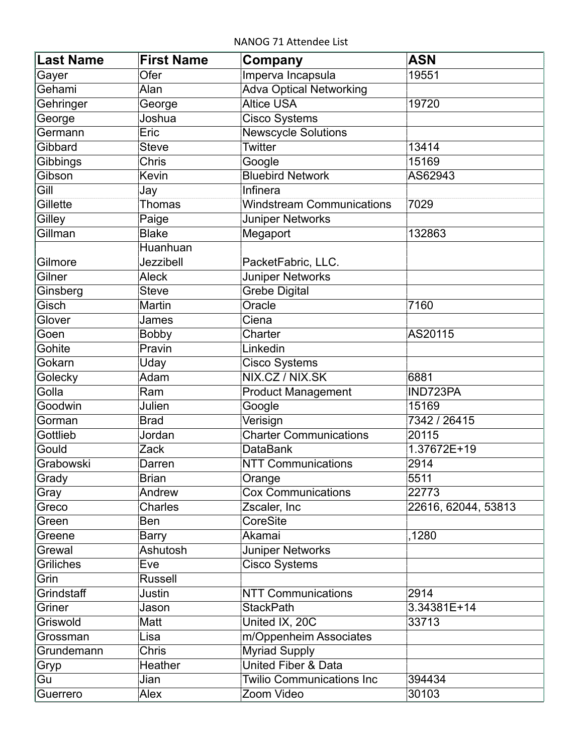NANOG 71 Attendee List

| <b>Last Name</b> | <b>First Name</b> | Company                          | <b>ASN</b>          |
|------------------|-------------------|----------------------------------|---------------------|
| Gayer            | Ofer              | Imperva Incapsula                | 19551               |
| Gehami           | Alan              | <b>Adva Optical Networking</b>   |                     |
| Gehringer        | George            | <b>Altice USA</b>                | 19720               |
| George           | Joshua            | <b>Cisco Systems</b>             |                     |
| Germann          | Eric              | <b>Newscycle Solutions</b>       |                     |
| Gibbard          | <b>Steve</b>      | <b>Twitter</b>                   | 13414               |
| Gibbings         | Chris             | Google                           | 15169               |
| Gibson           | Kevin             | <b>Bluebird Network</b>          | AS62943             |
| Gill             | Jay               | <b>Infinera</b>                  |                     |
| Gillette         | <b>Thomas</b>     | <b>Windstream Communications</b> | 7029                |
| Gilley           | Paige             | Juniper Networks                 |                     |
| Gillman          | <b>Blake</b>      | Megaport                         | 132863              |
|                  | Huanhuan          |                                  |                     |
| Gilmore          | <b>Jezzibell</b>  | PacketFabric, LLC.               |                     |
| Gilner           | Aleck             | Juniper Networks                 |                     |
| Ginsberg         | <b>Steve</b>      | <b>Grebe Digital</b>             |                     |
| Gisch            | Martin            | Oracle                           | 7160                |
| Glover           | James             | Ciena                            |                     |
| Goen             | <b>Bobby</b>      | Charter                          | AS20115             |
| Gohite           | Pravin            | Linkedin                         |                     |
| Gokarn           | Uday              | <b>Cisco Systems</b>             |                     |
| Golecky          | Adam              | NIX.CZ / NIX.SK                  | 6881                |
| Golla            | Ram               | <b>Product Management</b>        | IND723PA            |
| Goodwin          | Julien            | Google                           | 15169               |
| Gorman           | <b>Brad</b>       | Verisign                         | 7342 / 26415        |
| Gottlieb         | <b>Jordan</b>     | <b>Charter Communications</b>    | 20115               |
| Gould            | Zack              | <b>DataBank</b>                  | 1.37672E+19         |
| Grabowski        | Darren            | <b>NTT Communications</b>        | 2914                |
| Grady            | <b>Brian</b>      | Orange                           | 5511                |
| Gray             | Andrew            | <b>Cox Communications</b>        | 22773               |
| Greco            | Charles           | Zscaler, Inc                     | 22616, 62044, 53813 |
| Green            | Ben               | CoreSite                         |                     |
| Greene           | <b>Barry</b>      | <b>Akamai</b>                    | ,1280               |
| Grewal           | Ashutosh          | <b>Juniper Networks</b>          |                     |
| <b>Griliches</b> | Eve               | Cisco Systems                    |                     |
| Grin             | <b>Russell</b>    |                                  |                     |
| Grindstaff       | Justin            | <b>NTT Communications</b>        | 2914                |
| Griner           | Jason             | <b>StackPath</b>                 | 3.34381E+14         |
| Griswold         | Matt              | United IX, 20C                   | 33713               |
| Grossman         | Lisa              | m/Oppenheim Associates           |                     |
| Grundemann       | Chris             | <b>Myriad Supply</b>             |                     |
| Gryp             | Heather           | <b>United Fiber &amp; Data</b>   |                     |
| Gu               | Jian              | <b>Twilio Communications Inc</b> | 394434              |
| Guerrero         | Alex              | Zoom Video                       | 30103               |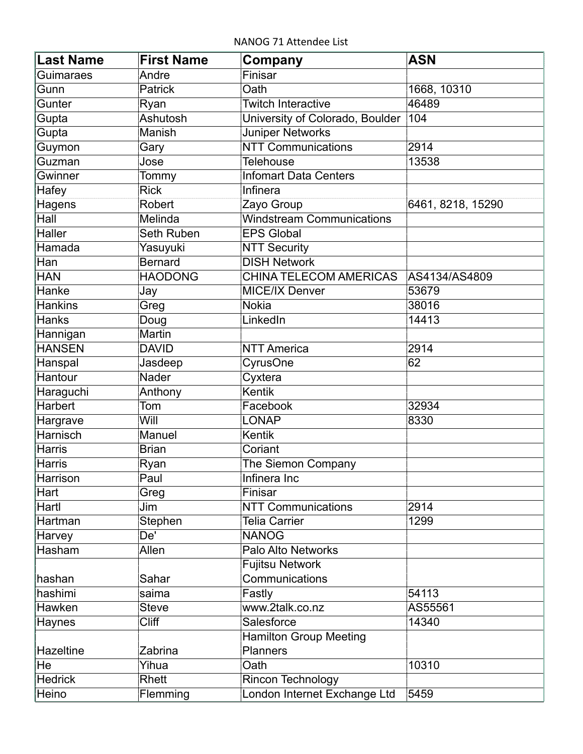NANOG 71 Attendee List

| <b>Last Name</b> | <b>First Name</b> | Company                          | <b>ASN</b>        |
|------------------|-------------------|----------------------------------|-------------------|
| Guimaraes        | Andre             | Finisar                          |                   |
| Gunn             | <b>Patrick</b>    | Oath                             | 1668, 10310       |
| Gunter           | Ryan              | <b>Twitch Interactive</b>        | 46489             |
| Gupta            | Ashutosh          | University of Colorado, Boulder  | 104               |
| Gupta            | Manish            | <b>Juniper Networks</b>          |                   |
| Guymon           | Gary              | <b>NTT Communications</b>        | 2914              |
| Guzman           | Jose              | <b>Telehouse</b>                 | 13538             |
| Gwinner          | Tommy             | <b>Infomart Data Centers</b>     |                   |
| Hafey            | <b>Rick</b>       | Infinera                         |                   |
| Hagens           | Robert            | Zayo Group                       | 6461, 8218, 15290 |
| Hall             | Melinda           | <b>Windstream Communications</b> |                   |
| <b>Haller</b>    | Seth Ruben        | <b>EPS Global</b>                |                   |
| Hamada           | Yasuyuki          | <b>NTT Security</b>              |                   |
| Han              | <b>Bernard</b>    | <b>DISH Network</b>              |                   |
| <b>HAN</b>       | <b>HAODONG</b>    | <b>CHINA TELECOM AMERICAS</b>    | AS4134/AS4809     |
| Hanke            | Jay               | <b>MICE/IX Denver</b>            | 53679             |
| <b>Hankins</b>   | Greg              | <b>Nokia</b>                     | 38016             |
| Hanks            | Doug              | LinkedIn                         | 14413             |
| Hannigan         | Martin            |                                  |                   |
| <b>HANSEN</b>    | <b>DAVID</b>      | <b>NTT America</b>               | 2914              |
| Hanspal          | Jasdeep           | CyrusOne                         | 62                |
| Hantour          | Nader             | Cyxtera                          |                   |
| Haraguchi        | Anthony           | <b>Kentik</b>                    |                   |
| Harbert          | Tom               | Facebook                         | 32934             |
| Hargrave         | Will              | <b>LONAP</b>                     | 8330              |
| <b>Harnisch</b>  | Manuel            | Kentik                           |                   |
| Harris           | <b>Brian</b>      | Coriant                          |                   |
| Harris           | Ryan              | The Siemon Company               |                   |
| Harrison         | Paul              | Infinera Inc                     |                   |
| Hart             | Greg              | Finisar                          |                   |
| Hartl            | Jim               | <b>NTT Communications</b>        | 2914              |
| Hartman          | <b>Stephen</b>    | <b>Telia Carrier</b>             | 1299              |
| Harvey           | De'               | <b>NANOG</b>                     |                   |
| Hasham           | Allen             | Palo Alto Networks               |                   |
|                  |                   | <b>Fujitsu Network</b>           |                   |
| hashan           | Sahar             | Communications                   |                   |
| hashimi          | saima             | Fastly                           | 54113             |
| Hawken           | <b>Steve</b>      | www.2talk.co.nz                  | AS55561           |
| Haynes           | <b>Cliff</b>      | Salesforce                       | 14340             |
|                  |                   | <b>Hamilton Group Meeting</b>    |                   |
| Hazeltine        | Zabrina           | <b>Planners</b>                  |                   |
| He               | Yihua             | Oath                             | 10310             |
| <b>Hedrick</b>   | Rhett             | <b>Rincon Technology</b>         |                   |
| Heino            | Flemming          | London Internet Exchange Ltd     | 5459              |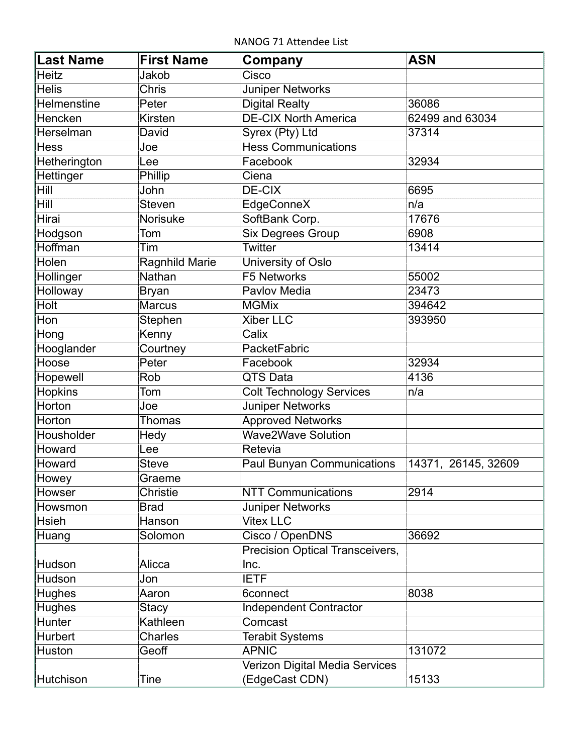NANOG 71 Attendee List

| <b>Last Name</b>   | <b>First Name</b> | Company                           | <b>ASN</b>          |
|--------------------|-------------------|-----------------------------------|---------------------|
| <b>Heitz</b>       | Jakob             | Cisco                             |                     |
| <b>Helis</b>       | <b>Chris</b>      | Juniper Networks                  |                     |
| <b>Helmenstine</b> | Peter             | <b>Digital Realty</b>             | 36086               |
| Hencken            | Kirsten           | <b>DE-CIX North America</b>       | 62499 and 63034     |
| Herselman          | David             | Syrex (Pty) Ltd                   | 37314               |
| <b>Hess</b>        | Joe               | <b>Hess Communications</b>        |                     |
| Hetherington       | Lee               | Facebook                          | 32934               |
| Hettinger          | Phillip           | Ciena                             |                     |
| <b>Hill</b>        | John              | <b>DE-CIX</b>                     | 6695                |
| <b>Hill</b>        | Steven            | EdgeConneX                        | n/a                 |
| Hirai              | Norisuke          | SoftBank Corp.                    | 17676               |
| Hodgson            | Tom               | <b>Six Degrees Group</b>          | 6908                |
| <b>Hoffman</b>     | Tim               | <b>Twitter</b>                    | 13414               |
| Holen              | Ragnhild Marie    | University of Oslo                |                     |
| Hollinger          | Nathan            | <b>F5 Networks</b>                | 55002               |
| Holloway           | <b>Bryan</b>      | Pavlov Media                      | 23473               |
| Holt               | <b>Marcus</b>     | <b>MGMix</b>                      | 394642              |
| Hon                | Stephen           | <b>Xiber LLC</b>                  | 393950              |
| Hong               | Kenny             | Calix                             |                     |
| Hooglander         | Courtney          | <b>PacketFabric</b>               |                     |
| Hoose              | Peter             | Facebook                          | 32934               |
| Hopewell           | Rob               | QTS Data                          | 4136                |
| <b>Hopkins</b>     | Tom               | <b>Colt Technology Services</b>   | n/a                 |
| <b>Horton</b>      | Joe               | Juniper Networks                  |                     |
| Horton             | <b>Thomas</b>     | <b>Approved Networks</b>          |                     |
| Housholder         | Hedy              | <b>Wave2Wave Solution</b>         |                     |
| Howard             | Lee               | Retevia                           |                     |
| Howard             | <b>Steve</b>      | <b>Paul Bunyan Communications</b> | 14371, 26145, 32609 |
| Howey              | Graeme            |                                   |                     |
| Howser             | Christie          | <b>NTT Communications</b>         | 2914                |
| Howsmon            | <b>Brad</b>       | <b>Juniper Networks</b>           |                     |
| <b>Hsieh</b>       | Hanson            | <b>Vitex LLC</b>                  |                     |
| Huang              | Solomon           | Cisco / OpenDNS                   | 36692               |
|                    |                   | Precision Optical Transceivers,   |                     |
| Hudson             | Alicca            | Inc.                              |                     |
| Hudson             | Jon               | <b>IETF</b>                       |                     |
| <b>Hughes</b>      | Aaron             | 6connect                          | 8038                |
| Hughes             | <b>Stacy</b>      | <b>Independent Contractor</b>     |                     |
| Hunter             | Kathleen          | Comcast                           |                     |
| Hurbert            | Charles           | <b>Terabit Systems</b>            |                     |
| Huston             | Geoff             | <b>APNIC</b>                      | 131072              |
|                    |                   | Verizon Digital Media Services    |                     |
| Hutchison          | Tine              | (EdgeCast CDN)                    | 15133               |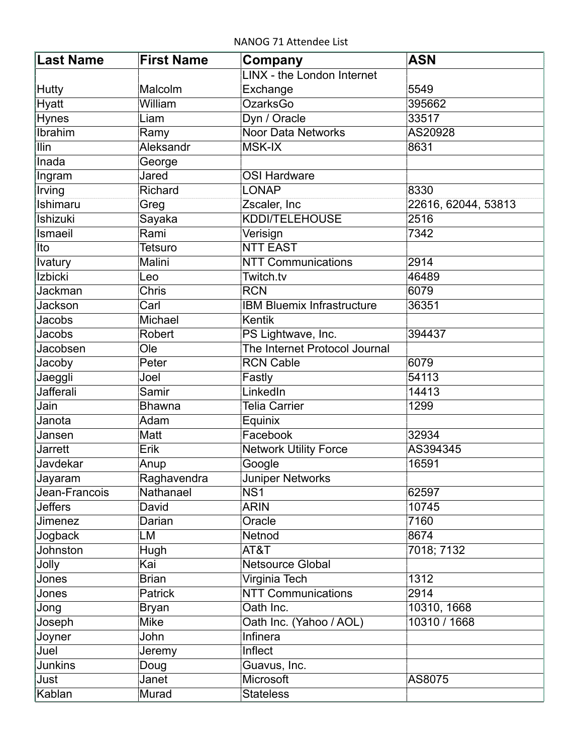NANOG 71 Attendee List

| <b>Last Name</b> | <b>First Name</b> | Company                           | <b>ASN</b>          |
|------------------|-------------------|-----------------------------------|---------------------|
|                  |                   | LINX - the London Internet        |                     |
| Hutty            | Malcolm           | Exchange                          | 5549                |
| Hyatt            | William           | <b>OzarksGo</b>                   | 395662              |
| Hynes            | Liam              | Dyn / Oracle                      | 33517               |
| Ibrahim          | Ramy              | Noor Data Networks                | AS20928             |
| <b>Ilin</b>      | Aleksandr         | <b>MSK-IX</b>                     | 8631                |
| Inada            | George            |                                   |                     |
| Ingram           | Jared             | <b>OSI Hardware</b>               |                     |
| Irving           | Richard           | <b>LONAP</b>                      | 8330                |
| Ishimaru         | Greg              | Zscaler, Inc                      | 22616, 62044, 53813 |
| Ishizuki         | Sayaka            | KDDI/TELEHOUSE                    | 2516                |
| Ismaeil          | Rami              | Verisign                          | 7342                |
| Ito              | Tetsuro           | <b>NTT EAST</b>                   |                     |
| <b>Ivatury</b>   | Malini            | <b>NTT Communications</b>         | 2914                |
| Izbicki          | Leo               | Twitch.tv                         | 46489               |
| Jackman          | Chris             | <b>RCN</b>                        | 6079                |
| Jackson          | Carl              | <b>IBM Bluemix Infrastructure</b> | 36351               |
| Jacobs           | Michael           | <b>Kentik</b>                     |                     |
| Jacobs           | Robert            | PS Lightwave, Inc.                | 394437              |
| Jacobsen         | Ole               | The Internet Protocol Journal     |                     |
| Jacoby           | Peter             | <b>RCN Cable</b>                  | 6079                |
| Jaeggli          | Joel              | Fastly                            | 54113               |
| <b>Jafferali</b> | Samir             | LinkedIn                          | 14413               |
| Jain             | <b>Bhawna</b>     | <b>Telia Carrier</b>              | 1299                |
| Janota           | Adam              | Equinix                           |                     |
| Jansen           | Matt              | Facebook                          | 32934               |
| <b>Jarrett</b>   | Erik              | <b>Network Utility Force</b>      | AS394345            |
| Javdekar         | Anup              | Google                            | 16591               |
| Jayaram          | Raghavendra       | Juniper Networks                  |                     |
| Jean-Francois    | Nathanael         | NS <sub>1</sub>                   | 62597               |
| <b>Jeffers</b>   | David             | <b>ARIN</b>                       | 10745               |
| Jimenez          | Darian            | Oracle                            | 7160                |
| Jogback          | LM                | Netnod                            | 8674                |
| Johnston         | Hugh              | AT&T                              | 7018; 7132          |
| Jolly            | Kai               | <b>Netsource Global</b>           |                     |
| Jones            | <b>Brian</b>      | Virginia Tech                     | 1312                |
| Jones            | Patrick           | <b>NTT Communications</b>         | 2914                |
| Jong             | <b>Bryan</b>      | Oath Inc.                         | 10310, 1668         |
| Joseph           | Mike              | Oath Inc. (Yahoo / AOL)           | 10310 / 1668        |
| Joyner           | John              | Infinera                          |                     |
| Juel             | Jeremy            | Inflect                           |                     |
| <b>Junkins</b>   | Doug              | Guavus, Inc.                      |                     |
| Just             | Janet             | Microsoft                         | AS8075              |
| Kablan           | Murad             | <b>Stateless</b>                  |                     |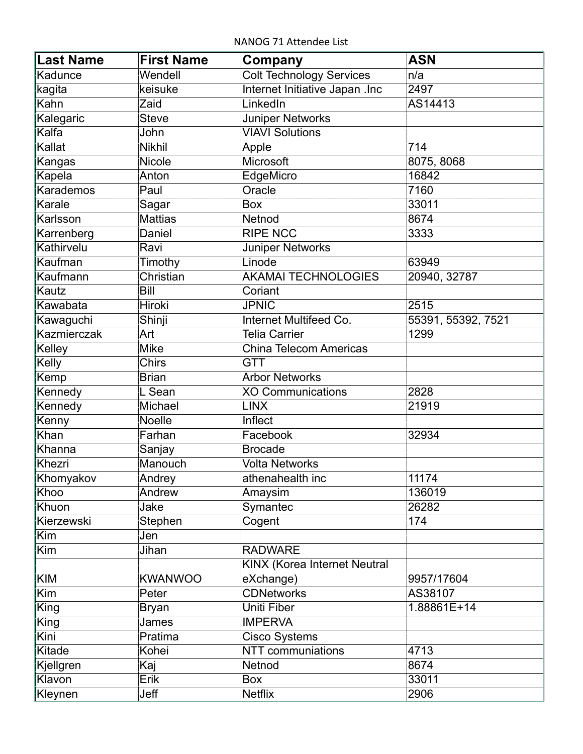NANOG 71 Attendee List

| <b>Last Name</b> | <b>First Name</b> | Company                         | <b>ASN</b>         |
|------------------|-------------------|---------------------------------|--------------------|
| Kadunce          | Wendell           | <b>Colt Technology Services</b> | n/a                |
| kagita           | keisuke           | Internet Initiative Japan .Inc  | 2497               |
| Kahn             | Zaid              | LinkedIn                        | AS14413            |
| Kalegaric        | <b>Steve</b>      | <b>Juniper Networks</b>         |                    |
| Kalfa            | John              | <b>VIAVI Solutions</b>          |                    |
| Kallat           | <b>Nikhil</b>     | Apple                           | 714                |
| Kangas           | <b>Nicole</b>     | Microsoft                       | 8075, 8068         |
| Kapela           | Anton             | EdgeMicro                       | 16842              |
| Karademos        | Paul              | Oracle                          | 7160               |
| Karale           | Sagar             | <b>Box</b>                      | 33011              |
| Karlsson         | <b>Mattias</b>    | Netnod                          | 8674               |
| Karrenberg       | Daniel            | <b>RIPE NCC</b>                 | 3333               |
| Kathirvelu       | Ravi              | <b>Juniper Networks</b>         |                    |
| Kaufman          | Timothy           | Linode                          | 63949              |
| Kaufmann         | Christian         | <b>AKAMAI TECHNOLOGIES</b>      | 20940, 32787       |
| Kautz            | Bill              | Coriant                         |                    |
| Kawabata         | Hiroki            | <b>JPNIC</b>                    | 2515               |
| Kawaguchi        | Shinji            | <b>Internet Multifeed Co.</b>   | 55391, 55392, 7521 |
| Kazmierczak      | Art               | <b>Telia Carrier</b>            | 1299               |
| Kelley           | <b>Mike</b>       | <b>China Telecom Americas</b>   |                    |
| Kelly            | <b>Chirs</b>      | GTT                             |                    |
| Kemp             | <b>Brian</b>      | <b>Arbor Networks</b>           |                    |
| Kennedy          | L Sean            | <b>XO Communications</b>        | 2828               |
| Kennedy          | Michael           | <b>LINX</b>                     | 21919              |
| Kenny            | Noelle            | <b>Inflect</b>                  |                    |
| Khan             | Farhan            | Facebook                        | 32934              |
| Khanna           | Sanjay            | <b>Brocade</b>                  |                    |
| Khezri           | Manouch           | <b>Volta Networks</b>           |                    |
| Khomyakov        | Andrey            | athenahealth inc                | 11174              |
| Khoo             | Andrew            | Amaysim                         | 136019             |
| Khuon            | Jake              | Symantec                        | 26282              |
| Kierzewski       | Stephen           | Cogent                          | 174                |
| Kim              | Jen               |                                 |                    |
| Kim              | Jihan             | <b>RADWARE</b>                  |                    |
|                  |                   | KINX (Korea Internet Neutral    |                    |
| <b>KIM</b>       | <b>KWANWOO</b>    | eXchange)                       | 9957/17604         |
| Kim              | Peter             | <b>CDNetworks</b>               | AS38107            |
| King             | <b>Bryan</b>      | Uniti Fiber                     | 1.88861E+14        |
| King             | James             | <b>IMPERVA</b>                  |                    |
| Kini             | Pratima           | <b>Cisco Systems</b>            |                    |
| Kitade           | Kohei             | <b>NTT</b> communiations        | 4713               |
| Kjellgren        | Kaj               | Netnod                          | 8674               |
| Klavon           | Erik              | <b>Box</b>                      | 33011              |
| Kleynen          | Jeff              | <b>Netflix</b>                  | 2906               |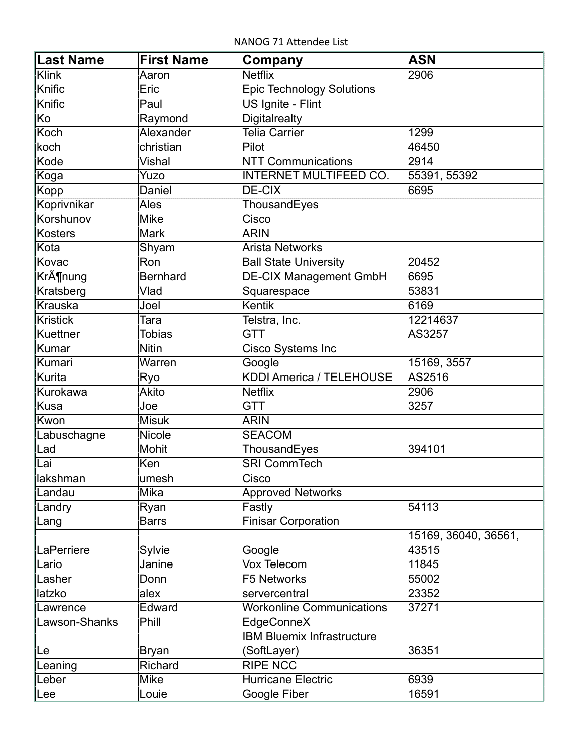NANOG 71 Attendee List

| <b>Last Name</b> | <b>First Name</b> | Company                           | <b>ASN</b>           |
|------------------|-------------------|-----------------------------------|----------------------|
| <b>Klink</b>     | Aaron             | <b>Netflix</b>                    | 2906                 |
| Knific           | Eric              | <b>Epic Technology Solutions</b>  |                      |
| Knific           | Paul              | US Ignite - Flint                 |                      |
| Ko               | Raymond           | <b>Digitalrealty</b>              |                      |
| Koch             | Alexander         | <b>Telia Carrier</b>              | 1299                 |
| koch             | christian         | Pilot                             | 46450                |
| Kode             | Vishal            | <b>NTT Communications</b>         | 2914                 |
| Koga             | Yuzo              | <b>INTERNET MULTIFEED CO.</b>     | 55391, 55392         |
| Kopp             | Daniel            | DE-CIX                            | 6695                 |
| Koprivnikar      | Ales              | ThousandEyes                      |                      |
| Korshunov        | <b>Mike</b>       | Cisco                             |                      |
| Kosters          | <b>Mark</b>       | <b>ARIN</b>                       |                      |
| Kota             | Shyam             | <b>Arista Networks</b>            |                      |
| Kovac            | Ron               | <b>Ball State University</b>      | 20452                |
| Krönung          | <b>Bernhard</b>   | <b>DE-CIX Management GmbH</b>     | 6695                 |
| Kratsberg        | Vlad              | Squarespace                       | 53831                |
| <b>Krauska</b>   | Joel              | <b>Kentik</b>                     | 6169                 |
| <b>Kristick</b>  | Tara              | Telstra, Inc.                     | 12214637             |
| Kuettner         | <b>Tobias</b>     | <b>GTT</b>                        | AS3257               |
| Kumar            | <b>Nitin</b>      | Cisco Systems Inc                 |                      |
| Kumari           | Warren            | Google                            | 15169, 3557          |
| <b>Kurita</b>    | Ryo               | <b>KDDI America / TELEHOUSE</b>   | AS2516               |
| Kurokawa         | <b>Akito</b>      | <b>Netflix</b>                    | 2906                 |
| <b>Kusa</b>      | Joe               | <b>GTT</b>                        | 3257                 |
| Kwon             | <b>Misuk</b>      | <b>ARIN</b>                       |                      |
| Labuschagne      | Nicole            | <b>SEACOM</b>                     |                      |
| Lad              | Mohit             | ThousandEyes                      | 394101               |
| Lai              | Ken               | <b>SRI CommTech</b>               |                      |
| lakshman         | umesh             | Cisco                             |                      |
| Landau           | Mika              | <b>Approved Networks</b>          |                      |
| Landry           | Ryan              | Fastly                            | 54113                |
| Lang             | <b>Barrs</b>      | <b>Finisar Corporation</b>        |                      |
|                  |                   |                                   | 15169, 36040, 36561, |
| LaPerriere       | Sylvie            | Google                            | 43515                |
| Lario            | Janine            | Vox Telecom                       | 11845                |
| Lasher           | Donn              | F5 Networks                       | 55002                |
| latzko           | alex              | servercentral                     | 23352                |
| Lawrence         | Edward            | <b>Workonline Communications</b>  | 37271                |
| Lawson-Shanks    | Phill             | EdgeConneX                        |                      |
|                  |                   | <b>IBM Bluemix Infrastructure</b> |                      |
| Le               | Bryan             | (SoftLayer)                       | 36351                |
| Leaning          | Richard           | <b>RIPE NCC</b>                   |                      |
| Leber            | Mike              | <b>Hurricane Electric</b>         | 6939                 |
| Lee              | Louie             | Google Fiber                      | 16591                |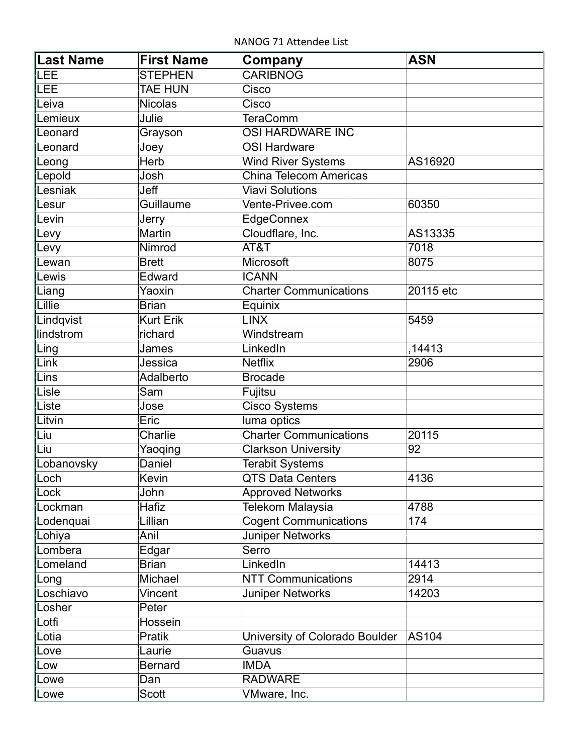NANOG 71 Attendee List

| <b>Last Name</b> | <b>First Name</b> | Company                        | <b>ASN</b> |
|------------------|-------------------|--------------------------------|------------|
| <b>LEE</b>       | <b>STEPHEN</b>    | <b>CARIBNOG</b>                |            |
| LEE              | <b>TAE HUN</b>    | Cisco                          |            |
| Leiva            | <b>Nicolas</b>    | Cisco                          |            |
| Lemieux          | Julie             | <b>TeraComm</b>                |            |
| Leonard          | Grayson           | OSI HARDWARE INC               |            |
| Leonard          | Joey              | <b>OSI Hardware</b>            |            |
| Leong            | Herb              | Wind River Systems             | AS16920    |
| Lepold           | Josh              | <b>China Telecom Americas</b>  |            |
| Lesniak          | Jeff              | <b>Viavi Solutions</b>         |            |
| Lesur            | Guillaume         | Vente-Privee.com               | 60350      |
| Levin            | Jerry             | EdgeConnex                     |            |
| Levy             | Martin            | Cloudflare, Inc.               | AS13335    |
| Levy             | Nimrod            | AT&T                           | 7018       |
| Lewan            | <b>Brett</b>      | Microsoft                      | 8075       |
| Lewis            | Edward            | <b>ICANN</b>                   |            |
| Liang            | Yaoxin            | <b>Charter Communications</b>  | 20115 etc  |
| Lillie           | <b>Brian</b>      | Equinix                        |            |
| Lindqvist        | <b>Kurt Erik</b>  | <b>LINX</b>                    | 5459       |
| lindstrom        | richard           | Windstream                     |            |
| Ling             | James             | LinkedIn                       | ,14413     |
| Link             | Jessica           | <b>Netflix</b>                 | 2906       |
| Lins             | Adalberto         | <b>Brocade</b>                 |            |
| Lisle            | Sam               | Fujitsu                        |            |
| Liste            | Jose              | Cisco Systems                  |            |
| Litvin           | Eric              | luma optics                    |            |
| Liu              | Charlie           | <b>Charter Communications</b>  | 20115      |
| Liu              | Yaoging           | <b>Clarkson University</b>     | 92         |
| Lobanovsky       | Daniel            | <b>Terabit Systems</b>         |            |
| Loch             | Kevin             | QTS Data Centers               | 4136       |
| Lock             | John              | <b>Approved Networks</b>       |            |
| Lockman          | Hafiz             | Telekom Malaysia               | 4788       |
| Lodenquai        | Lillian           | <b>Cogent Communications</b>   | 174        |
| Lohiya           | Anil              | <b>Juniper Networks</b>        |            |
| Lombera          | Edgar             | Serro                          |            |
| Lomeland         | <b>Brian</b>      | LinkedIn                       | 14413      |
| Long             | Michael           | <b>NTT Communications</b>      | 2914       |
| Loschiavo        | Vincent           | <b>Juniper Networks</b>        | 14203      |
| Losher           | Peter             |                                |            |
| Lotfi            | Hossein           |                                |            |
| Lotia            | Pratik            | University of Colorado Boulder | AS104      |
| Love             | Laurie            | Guavus                         |            |
| Low              | <b>Bernard</b>    | <b>IMDA</b>                    |            |
| Lowe             | Dan               | <b>RADWARE</b>                 |            |
| Lowe             | <b>Scott</b>      | VMware, Inc.                   |            |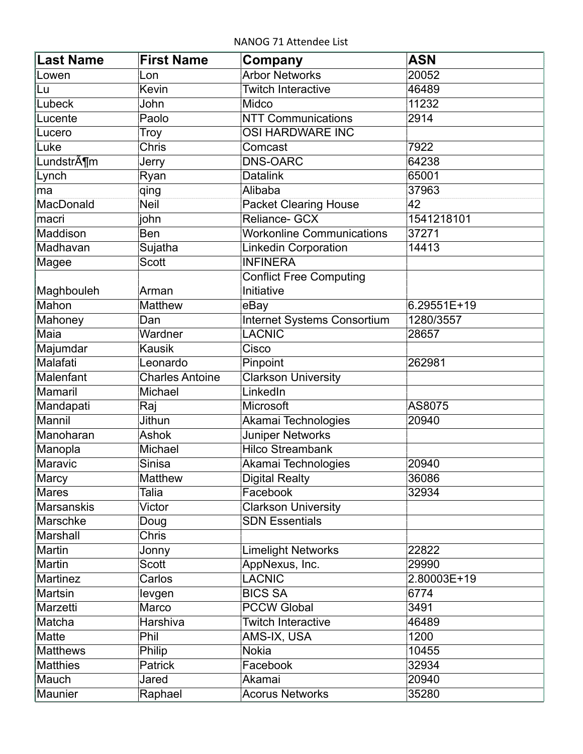NANOG 71 Attendee List

| <b>Last Name</b>  | <b>First Name</b>      | Company                            | <b>ASN</b>  |
|-------------------|------------------------|------------------------------------|-------------|
| Lowen             | Lon                    | <b>Arbor Networks</b>              | 20052       |
| Lu                | Kevin                  | <b>Twitch Interactive</b>          | 46489       |
| Lubeck            | John                   | Midco                              | 11232       |
| Lucente           | Paolo                  | <b>NTT Communications</b>          | 2914        |
| Lucero            | Troy                   | OSI HARDWARE INC                   |             |
| Luke              | Chris                  | Comcast                            | 7922        |
| Lundström         | Jerry                  | <b>DNS-OARC</b>                    | 64238       |
| Lynch             | Ryan                   | <b>Datalink</b>                    | 65001       |
| ma                | qing                   | Alibaba                            | 37963       |
| MacDonald         | Neil                   | <b>Packet Clearing House</b>       | 42          |
| macri             | john                   | Reliance- GCX                      | 1541218101  |
| Maddison          | Ben                    | <b>Workonline Communications</b>   | 37271       |
| Madhavan          | Sujatha                | <b>Linkedin Corporation</b>        | 14413       |
| Magee             | <b>Scott</b>           | <b>INFINERA</b>                    |             |
|                   |                        | <b>Conflict Free Computing</b>     |             |
| Maghbouleh        | Arman                  | Initiative                         |             |
| Mahon             | <b>Matthew</b>         | eBay                               | 6.29551E+19 |
| Mahoney           | Dan                    | <b>Internet Systems Consortium</b> | 1280/3557   |
| Maia              | Wardner                | <b>LACNIC</b>                      | 28657       |
| Majumdar          | <b>Kausik</b>          | Cisco                              |             |
| Malafati          | Leonardo               | Pinpoint                           | 262981      |
| Malenfant         | <b>Charles Antoine</b> | <b>Clarkson University</b>         |             |
| Mamaril           | Michael                | LinkedIn                           |             |
| Mandapati         | Raj                    | Microsoft                          | AS8075      |
| Mannil            | Jithun                 | Akamai Technologies                | 20940       |
| Manoharan         | Ashok                  | <b>Juniper Networks</b>            |             |
| Manopla           | Michael                | <b>Hilco Streambank</b>            |             |
| <b>Maravic</b>    | Sinisa                 | Akamai Technologies                | 20940       |
| Marcy             | <b>Matthew</b>         | <b>Digital Realty</b>              | 36086       |
| <b>Mares</b>      | Talia                  | Facebook                           | 32934       |
| <b>Marsanskis</b> | Victor                 | <b>Clarkson University</b>         |             |
| Marschke          | Doug                   | <b>SDN Essentials</b>              |             |
| Marshall          | Chris                  |                                    |             |
| Martin            | Jonny                  | <b>Limelight Networks</b>          | 22822       |
| Martin            | Scott                  | AppNexus, Inc.                     | 29990       |
| Martinez          | Carlos                 | <b>LACNIC</b>                      | 2.80003E+19 |
| Martsin           | levgen                 | <b>BICS SA</b>                     | 6774        |
| Marzetti          | Marco                  | <b>PCCW Global</b>                 | 3491        |
| Matcha            | Harshiva               | <b>Twitch Interactive</b>          | 46489       |
| Matte             | Phil                   | AMS-IX, USA                        | 1200        |
| <b>Matthews</b>   | Philip                 | <b>Nokia</b>                       | 10455       |
| <b>Matthies</b>   | Patrick                | Facebook                           | 32934       |
| Mauch             | Jared                  | Akamai                             | 20940       |
| <b>Maunier</b>    | Raphael                | <b>Acorus Networks</b>             | 35280       |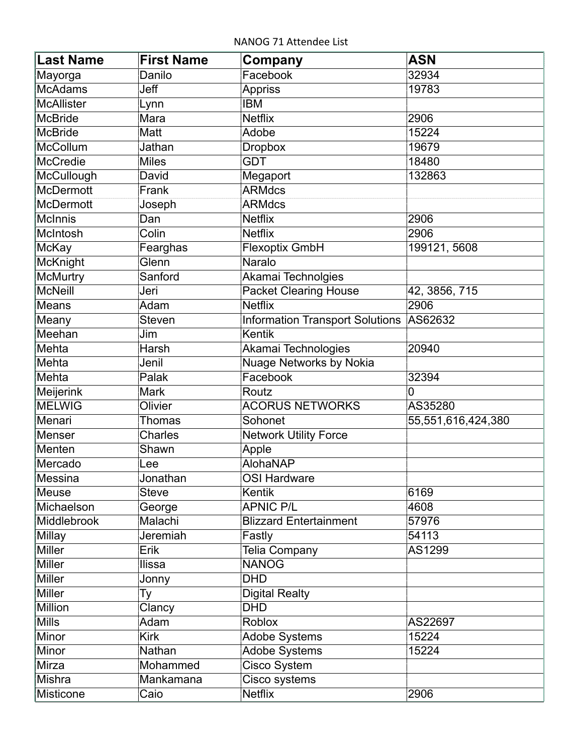NANOG 71 Attendee List

| Last Name         | <b>First Name</b> | Company                                | <b>ASN</b>         |
|-------------------|-------------------|----------------------------------------|--------------------|
| Mayorga           | Danilo            | Facebook                               | 32934              |
| <b>McAdams</b>    | Jeff              | <b>Appriss</b>                         | 19783              |
| <b>McAllister</b> | Lynn              | <b>IBM</b>                             |                    |
| <b>McBride</b>    | Mara              | <b>Netflix</b>                         | 2906               |
| <b>McBride</b>    | Matt              | Adobe                                  | 15224              |
| McCollum          | Jathan            | <b>Dropbox</b>                         | 19679              |
| <b>McCredie</b>   | <b>Miles</b>      | <b>GDT</b>                             | 18480              |
| McCullough        | David             | Megaport                               | 132863             |
| <b>McDermott</b>  | Frank             | <b>ARMdcs</b>                          |                    |
| <b>McDermott</b>  | Joseph            | <b>ARMdcs</b>                          |                    |
| <b>McInnis</b>    | Dan               | <b>Netflix</b>                         | 2906               |
| McIntosh          | Colin             | <b>Netflix</b>                         | 2906               |
| <b>McKay</b>      | Fearghas          | <b>Flexoptix GmbH</b>                  | 199121, 5608       |
| <b>McKnight</b>   | Glenn             | Naralo                                 |                    |
| <b>McMurtry</b>   | Sanford           | Akamai Technolgies                     |                    |
| <b>McNeill</b>    | Jeri              | <b>Packet Clearing House</b>           | 42, 3856, 715      |
| <b>Means</b>      | Adam              | <b>Netflix</b>                         | 2906               |
| Meany             | <b>Steven</b>     | <b>Information Transport Solutions</b> | AS62632            |
| Meehan            | Jim               | <b>Kentik</b>                          |                    |
| Mehta             | Harsh             | Akamai Technologies                    | 20940              |
| Mehta             | Jenil             | Nuage Networks by Nokia                |                    |
| Mehta             | Palak             | Facebook                               | 32394              |
| Meijerink         | Mark              | Routz                                  | 0                  |
| <b>MELWIG</b>     | Olivier           | <b>ACORUS NETWORKS</b>                 | AS35280            |
| Menari            | Thomas            | Sohonet                                | 55,551,616,424,380 |
| Menser            | <b>Charles</b>    | <b>Network Utility Force</b>           |                    |
| Menten            | Shawn             | Apple                                  |                    |
| Mercado           | Lee               | AlohaNAP                               |                    |
| Messina           | Jonathan          | OSI Hardware                           |                    |
| <b>Meuse</b>      | <b>Steve</b>      | <b>Kentik</b>                          | 6169               |
| Michaelson        | George            | <b>APNIC P/L</b>                       | 4608               |
| Middlebrook       | Malachi           | <b>Blizzard Entertainment</b>          | 57976              |
| <b>Millay</b>     | Jeremiah          | Fastly                                 | 54113              |
| <b>Miller</b>     | Erik              | Telia Company                          | AS1299             |
| <b>Miller</b>     | <b>Ilissa</b>     | <b>NANOG</b>                           |                    |
| Miller            | Jonny             | <b>DHD</b>                             |                    |
| Miller            | Ty                | Digital Realty                         |                    |
| Million           | Clancy            | <b>DHD</b>                             |                    |
| <b>Mills</b>      | Adam              | <b>Roblox</b>                          | AS22697            |
| Minor             | <b>Kirk</b>       | <b>Adobe Systems</b>                   | 15224              |
| Minor             | Nathan            | <b>Adobe Systems</b>                   | 15224              |
| Mirza             | Mohammed          | Cisco System                           |                    |
| Mishra            | Mankamana         | Cisco systems                          |                    |
| <b>Misticone</b>  | Caio              | <b>Netflix</b>                         | 2906               |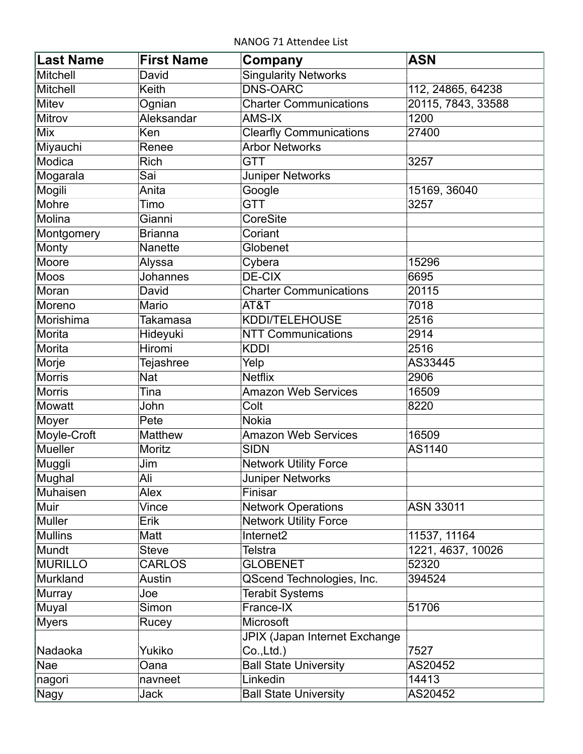NANOG 71 Attendee List

| <b>Last Name</b> | <b>First Name</b> | Company                              | <b>ASN</b>         |
|------------------|-------------------|--------------------------------------|--------------------|
| <b>Mitchell</b>  | David             | <b>Singularity Networks</b>          |                    |
| Mitchell         | Keith             | <b>DNS-OARC</b>                      | 112, 24865, 64238  |
| Mitev            | Ognian            | <b>Charter Communications</b>        | 20115, 7843, 33588 |
| Mitrov           | Aleksandar        | AMS-IX                               | 1200               |
| <b>Mix</b>       | Ken               | <b>Clearfly Communications</b>       | 27400              |
| Miyauchi         | Renee             | <b>Arbor Networks</b>                |                    |
| <b>Modica</b>    | <b>Rich</b>       | <b>GTT</b>                           | 3257               |
| Mogarala         | Sai               | Juniper Networks                     |                    |
| Mogili           | Anita             | Google                               | 15169, 36040       |
| Mohre            | Timo              | GTT                                  | 3257               |
| Molina           | Gianni            | <b>CoreSite</b>                      |                    |
| Montgomery       | <b>Brianna</b>    | Coriant                              |                    |
| Monty            | Nanette           | Globenet                             |                    |
| Moore            | Alyssa            | Cybera                               | 15296              |
| Moos             | Johannes          | DE-CIX                               | 6695               |
| Moran            | David             | <b>Charter Communications</b>        | 20115              |
| Moreno           | Mario             | AT&T                                 | 7018               |
| Morishima        | Takamasa          | <b>KDDI/TELEHOUSE</b>                | 2516               |
| Morita           | Hideyuki          | <b>NTT Communications</b>            | 2914               |
| Morita           | Hiromi            | <b>KDDI</b>                          | 2516               |
| Morje            | Tejashree         | Yelp                                 | AS33445            |
| <b>Morris</b>    | <b>Nat</b>        | <b>Netflix</b>                       | 2906               |
| <b>Morris</b>    | Tina              | <b>Amazon Web Services</b>           | 16509              |
| Mowatt           | John              | Colt                                 | 8220               |
| Moyer            | Pete              | <b>Nokia</b>                         |                    |
| Moyle-Croft      | Matthew           | <b>Amazon Web Services</b>           | 16509              |
| <b>Mueller</b>   | Moritz            | <b>SIDN</b>                          | AS1140             |
| Muggli           | Jim               | <b>Network Utility Force</b>         |                    |
| Mughal           | Ali               | Juniper Networks                     |                    |
| Muhaisen         | Alex              | Finisar                              |                    |
| Muir             | Vince             | <b>Network Operations</b>            | <b>ASN 33011</b>   |
| <b>Muller</b>    | Erik              | <b>Network Utility Force</b>         |                    |
| <b>Mullins</b>   | Matt              | Internet <sub>2</sub>                | 11537, 11164       |
| Mundt            | <b>Steve</b>      | Telstra                              | 1221, 4637, 10026  |
| <b>MURILLO</b>   | <b>CARLOS</b>     | <b>GLOBENET</b>                      | 52320              |
| Murkland         | Austin            | QScend Technologies, Inc.            | 394524             |
| Murray           | Joe               | <b>Terabit Systems</b>               |                    |
| Muyal            | Simon             | France-IX                            | 51706              |
| <b>Myers</b>     | Rucey             | Microsoft                            |                    |
|                  |                   | <b>JPIX (Japan Internet Exchange</b> |                    |
| Nadaoka          | Yukiko            | $Co$ ., Ltd.)                        | 7527               |
| <b>Nae</b>       | Oana              | <b>Ball State University</b>         | AS20452            |
| nagori           | navneet           | Linkedin                             | 14413              |
| Nagy             | <b>Jack</b>       | <b>Ball State University</b>         | AS20452            |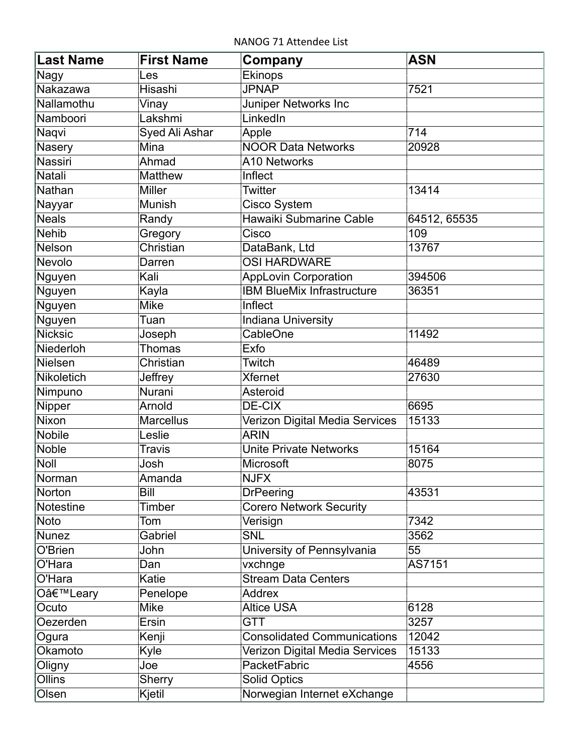NANOG 71 Attendee List

| Last Name         | <b>First Name</b> | Company                            | <b>ASN</b>   |
|-------------------|-------------------|------------------------------------|--------------|
| Nagy              | Les               | <b>Ekinops</b>                     |              |
| Nakazawa          | Hisashi           | <b>JPNAP</b>                       | 7521         |
| Nallamothu        | Vinay             | Juniper Networks Inc               |              |
| Namboori          | Lakshmi           | LinkedIn                           |              |
| Naqvi             | Syed Ali Ashar    | Apple                              | 714          |
| Nasery            | Mina              | <b>NOOR Data Networks</b>          | 20928        |
| <b>Nassiri</b>    | Ahmad             | <b>A10 Networks</b>                |              |
| Natali            | <b>Matthew</b>    | Inflect                            |              |
| <b>Nathan</b>     | <b>Miller</b>     | Twitter                            | 13414        |
| Nayyar            | Munish            | Cisco System                       |              |
| <b>Neals</b>      | Randy             | Hawaiki Submarine Cable            | 64512, 65535 |
| <b>Nehib</b>      | Gregory           | Cisco                              | 109          |
| <b>Nelson</b>     | Christian         | DataBank, Ltd                      | 13767        |
| Nevolo            | Darren            | <b>OSI HARDWARE</b>                |              |
| Nguyen            | Kali              | <b>AppLovin Corporation</b>        | 394506       |
| Nguyen            | Kayla             | <b>IBM BlueMix Infrastructure</b>  | 36351        |
| Nguyen            | <b>Mike</b>       | Inflect                            |              |
| Nguyen            | Tuan              | <b>Indiana University</b>          |              |
| <b>Nicksic</b>    | Joseph            | CableOne                           | 11492        |
| Niederloh         | <b>Thomas</b>     | Exfo                               |              |
| <b>Nielsen</b>    | Christian         | Twitch                             | 46489        |
| <b>Nikoletich</b> | Jeffrey           | <b>Xfernet</b>                     | 27630        |
| Nimpuno           | Nurani            | Asteroid                           |              |
| Nipper            | Arnold            | <b>DE-CIX</b>                      | 6695         |
| Nixon             | Marcellus         | Verizon Digital Media Services     | 15133        |
| <b>Nobile</b>     | Leslie            | <b>ARIN</b>                        |              |
| <b>Noble</b>      | <b>Travis</b>     | <b>Unite Private Networks</b>      | 15164        |
| Noll              | Josh              | Microsoft                          | 8075         |
| Norman            | Amanda            | <b>NJFX</b>                        |              |
| <b>Norton</b>     | Bill              | <b>DrPeering</b>                   | 43531        |
| <b>Notestine</b>  | Timber            | <b>Corero Network Security</b>     |              |
| <b>Noto</b>       | Tom               | Verisign                           | 7342         |
| <b>Nunez</b>      | Gabriel           | <b>SNL</b>                         | 3562         |
| O'Brien           | John              | University of Pennsylvania         | 55           |
| O'Hara            | Dan               | vxchnge                            | AS7151       |
| O'Hara            | Katie             | <b>Stream Data Centers</b>         |              |
| O'Leary           | Penelope          | <b>Addrex</b>                      |              |
| Ocuto             | <b>Mike</b>       | <b>Altice USA</b>                  | 6128         |
| Oezerden          | Ersin             | GTT                                | 3257         |
| Ogura             | Kenji             | <b>Consolidated Communications</b> | 12042        |
| Okamoto           | Kyle              | Verizon Digital Media Services     | 15133        |
| Oligny            | Joe               | PacketFabric                       | 4556         |
| Ollins            | Sherry            | <b>Solid Optics</b>                |              |
| Olsen             | Kjetil            | Norwegian Internet eXchange        |              |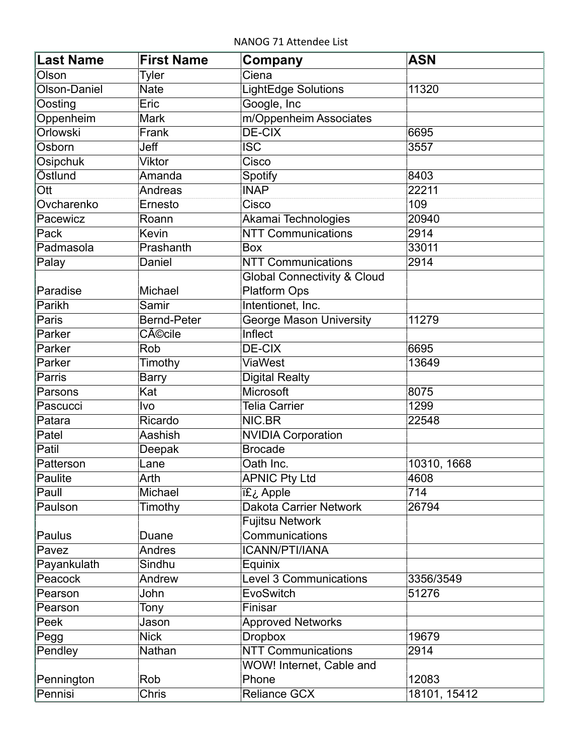NANOG 71 Attendee List

| <b>Last Name</b> | <b>First Name</b>  | Company                                | <b>ASN</b>   |
|------------------|--------------------|----------------------------------------|--------------|
| Olson            | Tyler              | Ciena                                  |              |
| Olson-Daniel     | <b>Nate</b>        | LightEdge Solutions                    | 11320        |
| Oosting          | Eric               | Google, Inc                            |              |
| Oppenheim        | <b>Mark</b>        | m/Oppenheim Associates                 |              |
| Orlowski         | Frank              | DE-CIX                                 | 6695         |
| Osborn           | Jeff               | $\overline{\text{ISC}}$                | 3557         |
| Osipchuk         | Viktor             | Cisco                                  |              |
| Östlund          | Amanda             | <b>Spotify</b>                         | 8403         |
| Ott              | Andreas            | <b>INAP</b>                            | 22211        |
| Ovcharenko       | Ernesto            | Cisco                                  | 109          |
| Pacewicz         | Roann              | Akamai Technologies                    | 20940        |
| Pack             | Kevin              | <b>NTT Communications</b>              | 2914         |
| Padmasola        | Prashanth          | Box                                    | 33011        |
| Palay            | Daniel             | <b>NTT Communications</b>              | 2914         |
|                  |                    | <b>Global Connectivity &amp; Cloud</b> |              |
| Paradise         | Michael            | Platform Ops                           |              |
| Parikh           | Samir              | Intentionet, Inc.                      |              |
| Paris            | <b>Bernd-Peter</b> | <b>George Mason University</b>         | 11279        |
| Parker           | Cécile             | Inflect                                |              |
| Parker           | Rob                | DE-CIX                                 | 6695         |
| Parker           | Timothy            | <b>ViaWest</b>                         | 13649        |
| Parris           | <b>Barry</b>       | <b>Digital Realty</b>                  |              |
| Parsons          | Kat                | Microsoft                              | 8075         |
| Pascucci         | Ivo                | <b>Telia Carrier</b>                   | 1299         |
| Patara           | Ricardo            | NIC.BR                                 | 22548        |
| Patel            | Aashish            | <b>NVIDIA Corporation</b>              |              |
| Patil            | Deepak             | <b>Brocade</b>                         |              |
| Patterson        | Lane               | Oath Inc.                              | 10310, 1668  |
| Paulite          | Arth               | <b>APNIC Pty Ltd</b>                   | 4608         |
| Paull            | Michael            | i£ <sub>č</sub> , Apple                | 714          |
| Paulson          | Timothy            | <b>Dakota Carrier Network</b>          | 26794        |
|                  |                    | <b>Fujitsu Network</b>                 |              |
| Paulus           | Duane              | Communications                         |              |
| Pavez            | Andres             | <b>ICANN/PTI/IANA</b>                  |              |
| Payankulath      | Sindhu             | Equinix                                |              |
| Peacock          | Andrew             | <b>Level 3 Communications</b>          | 3356/3549    |
| Pearson          | John               | EvoSwitch                              | 51276        |
| Pearson          | Tony               | Finisar                                |              |
| Peek             | Jason              | <b>Approved Networks</b>               |              |
| Pegg             | <b>Nick</b>        | <b>Dropbox</b>                         | 19679        |
| Pendley          | Nathan             | <b>NTT Communications</b>              | 2914         |
|                  |                    | WOW! Internet, Cable and               |              |
| Pennington       | Rob                | Phone                                  | 12083        |
| Pennisi          | Chris              | <b>Reliance GCX</b>                    | 18101, 15412 |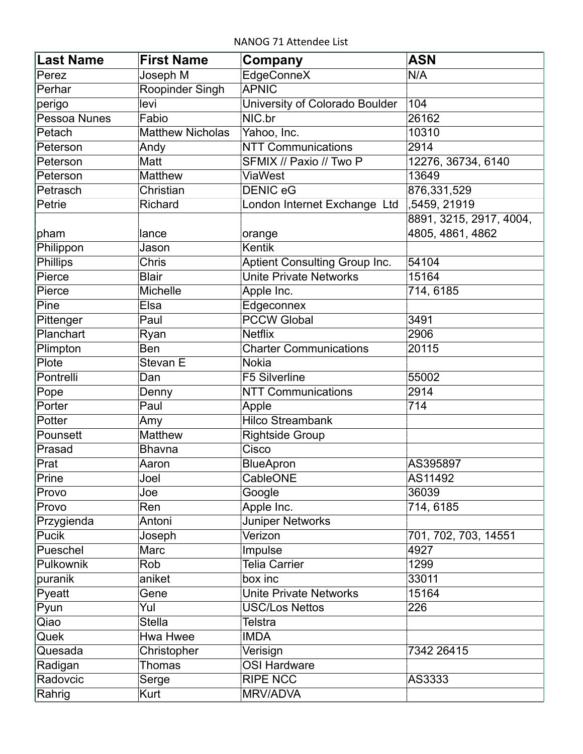NANOG 71 Attendee List

| <b>Last Name</b> | <b>First Name</b>       | Company                        | <b>ASN</b>              |
|------------------|-------------------------|--------------------------------|-------------------------|
| Perez            | Joseph M                | <b>EdgeConneX</b>              | N/A                     |
| Perhar           | Roopinder Singh         | <b>APNIC</b>                   |                         |
| perigo           | levi                    | University of Colorado Boulder | 104                     |
| Pessoa Nunes     | Fabio                   | NIC.br                         | 26162                   |
| Petach           | <b>Matthew Nicholas</b> | Yahoo, Inc.                    | 10310                   |
| Peterson         | Andy                    | <b>NTT Communications</b>      | 2914                    |
| Peterson         | Matt                    | SFMIX // Paxio // Two P        | 12276, 36734, 6140      |
| Peterson         | <b>Matthew</b>          | ViaWest                        | 13649                   |
| Petrasch         | Christian               | <b>DENIC eG</b>                | 876,331,529             |
| Petrie           | Richard                 | London Internet Exchange Ltd   | ,5459, 21919            |
|                  |                         |                                | 8891, 3215, 2917, 4004, |
| pham             | lance                   | orange                         | 4805, 4861, 4862        |
| Philippon        | Jason                   | <b>Kentik</b>                  |                         |
| <b>Phillips</b>  | Chris                   | Aptient Consulting Group Inc.  | 54104                   |
| Pierce           | <b>Blair</b>            | <b>Unite Private Networks</b>  | 15164                   |
| Pierce           | Michelle                | Apple Inc.                     | 714, 6185               |
| Pine             | Elsa                    | Edgeconnex                     |                         |
| Pittenger        | Paul                    | <b>PCCW Global</b>             | 3491                    |
| Planchart        | Ryan                    | <b>Netflix</b>                 | 2906                    |
| Plimpton         | Ben                     | <b>Charter Communications</b>  | 20115                   |
| Plote            | Stevan E                | <b>Nokia</b>                   |                         |
| Pontrelli        | Dan                     | F5 Silverline                  | 55002                   |
| Pope             | Denny                   | <b>NTT Communications</b>      | 2914                    |
| Porter           | Paul                    | Apple                          | 714                     |
| Potter           | Amy                     | <b>Hilco Streambank</b>        |                         |
| Pounsett         | Matthew                 | <b>Rightside Group</b>         |                         |
| Prasad           | <b>Bhavna</b>           | Cisco                          |                         |
| Prat             | Aaron                   | <b>BlueApron</b>               | AS395897                |
| Prine            | Joel                    | CableONE                       | AS11492                 |
| Provo            | Joe                     | Google                         | 36039                   |
| Provo            | Ren                     | Apple Inc.                     | 714, 6185               |
| Przygienda       | Antoni                  | Juniper Networks               |                         |
| Pucik            | Joseph                  | Verizon                        | 701, 702, 703, 14551    |
| Pueschel         | Marc                    | Impulse                        | 4927                    |
| Pulkownik        | Rob                     | Telia Carrier                  | 1299                    |
| puranik          | aniket                  | box inc                        | 33011                   |
| Pyeatt           | Gene                    | <b>Unite Private Networks</b>  | 15164                   |
| Pyun             | Yul                     | <b>USC/Los Nettos</b>          | 226                     |
| Qiao             | <b>Stella</b>           | Telstra                        |                         |
| Quek             | Hwa Hwee                | <b>IMDA</b>                    |                         |
| Quesada          | Christopher             | Verisign                       | 7342 26415              |
| Radigan          | Thomas                  | <b>OSI Hardware</b>            |                         |
| Radovcic         | Serge                   | <b>RIPE NCC</b>                | AS3333                  |
| Rahrig           | Kurt                    | <b>MRV/ADVA</b>                |                         |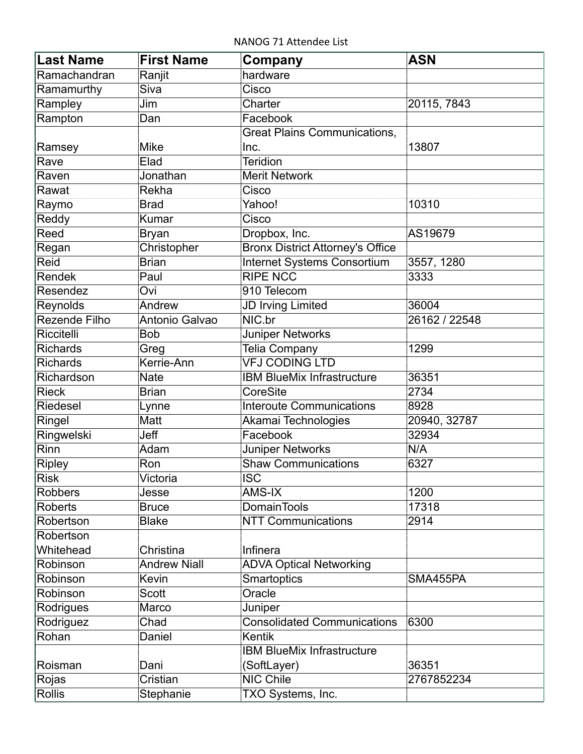NANOG 71 Attendee List

| <b>Last Name</b> | <b>First Name</b>   | Company                                 | <b>ASN</b>    |
|------------------|---------------------|-----------------------------------------|---------------|
| Ramachandran     | Ranjit              | hardware                                |               |
| Ramamurthy       | Siva                | Cisco                                   |               |
| Rampley          | Jim                 | Charter                                 | 20115, 7843   |
| Rampton          | Dan                 | Facebook                                |               |
|                  |                     | <b>Great Plains Communications,</b>     |               |
| Ramsey           | <b>Mike</b>         | Inc.                                    | 13807         |
| Rave             | Elad                | <b>Teridion</b>                         |               |
| Raven            | Jonathan            | <b>Merit Network</b>                    |               |
| Rawat            | Rekha               | Cisco                                   |               |
| Raymo            | <b>Brad</b>         | Yahoo!                                  | 10310         |
| Reddy            | Kumar               | Cisco                                   |               |
| Reed             | <b>Bryan</b>        | Dropbox, Inc.                           | AS19679       |
| Regan            | Christopher         | <b>Bronx District Attorney's Office</b> |               |
| Reid             | <b>Brian</b>        | <b>Internet Systems Consortium</b>      | 3557, 1280    |
| Rendek           | Paul                | <b>RIPE NCC</b>                         | 3333          |
| Resendez         | Ovi                 | 910 Telecom                             |               |
| Reynolds         | Andrew              | <b>JD Irving Limited</b>                | 36004         |
| Rezende Filho    | Antonio Galvao      | NIC.br                                  | 26162 / 22548 |
| Riccitelli       | <b>Bob</b>          | Juniper Networks                        |               |
| <b>Richards</b>  | Greg                | Telia Company                           | 1299          |
| <b>Richards</b>  | Kerrie-Ann          | <b>VFJ CODING LTD</b>                   |               |
| Richardson       | <b>Nate</b>         | <b>IBM BlueMix Infrastructure</b>       | 36351         |
| <b>Rieck</b>     | <b>Brian</b>        | CoreSite                                | 2734          |
| Riedesel         | Lynne               | <b>Interoute Communications</b>         | 8928          |
| Ringel           | Matt                | Akamai Technologies                     | 20940, 32787  |
| Ringwelski       | Jeff                | Facebook                                | 32934         |
| Rinn             | Adam                | <b>Juniper Networks</b>                 | N/A           |
| <b>Ripley</b>    | Ron                 | <b>Shaw Communications</b>              | 6327          |
| Risk             | Victoria            | $\overline{\text{ISC}}$                 |               |
| <b>Robbers</b>   | Jesse               | AMS-IX                                  | 1200          |
| <b>Roberts</b>   | <b>Bruce</b>        | <b>DomainTools</b>                      | 17318         |
| Robertson        | <b>Blake</b>        | <b>NTT Communications</b>               | 2914          |
| Robertson        |                     |                                         |               |
| Whitehead        | Christina           | Infinera                                |               |
| Robinson         | <b>Andrew Niall</b> | <b>ADVA Optical Networking</b>          |               |
| Robinson         | Kevin               | Smartoptics                             | SMA455PA      |
| Robinson         | Scott               | Oracle                                  |               |
| Rodrigues        | Marco               | Juniper                                 |               |
| Rodriguez        | Chad                | <b>Consolidated Communications</b>      | 6300          |
| Rohan            | Daniel              | Kentik                                  |               |
|                  |                     | <b>IBM BlueMix Infrastructure</b>       |               |
| Roisman          | Dani                | (SoftLayer)                             | 36351         |
| Rojas            | Cristian            | NIC Chile                               | 2767852234    |
| Rollis           | Stephanie           | TXO Systems, Inc.                       |               |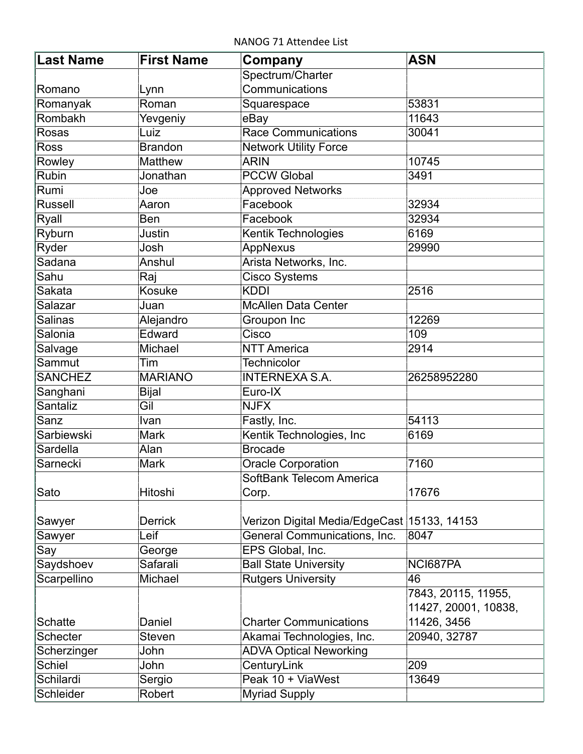NANOG 71 Attendee List

| <b>Last Name</b> | <b>First Name</b> | Company                                     | <b>ASN</b>           |
|------------------|-------------------|---------------------------------------------|----------------------|
|                  |                   | Spectrum/Charter                            |                      |
| Romano           | Lynn              | Communications                              |                      |
| Romanyak         | Roman             | Squarespace                                 | 53831                |
| Rombakh          | Yevgeniy          | eBay                                        | 11643                |
| <b>Rosas</b>     | Luiz              | <b>Race Communications</b>                  | 30041                |
| <b>Ross</b>      | <b>Brandon</b>    | <b>Network Utility Force</b>                |                      |
| Rowley           | <b>Matthew</b>    | <b>ARIN</b>                                 | 10745                |
| Rubin            | Jonathan          | <b>PCCW Global</b>                          | 3491                 |
| Rumi             | Joe               | <b>Approved Networks</b>                    |                      |
| <b>Russell</b>   | Aaron             | Facebook                                    | 32934                |
| Ryall            | Ben               | Facebook                                    | 32934                |
| Ryburn           | Justin            | Kentik Technologies                         | 6169                 |
| Ryder            | Josh              | AppNexus                                    | 29990                |
| Sadana           | Anshul            | Arista Networks, Inc.                       |                      |
| Sahu             | Raj               | <b>Cisco Systems</b>                        |                      |
| <b>Sakata</b>    | <b>Kosuke</b>     | <b>KDDI</b>                                 | 2516                 |
| Salazar          | Juan              | <b>McAllen Data Center</b>                  |                      |
| <b>Salinas</b>   | Alejandro         | Groupon Inc                                 | 12269                |
| Salonia          | Edward            | Cisco                                       | 109                  |
| Salvage          | Michael           | <b>NTT America</b>                          | 2914                 |
| Sammut           | Tim               | Technicolor                                 |                      |
| <b>SANCHEZ</b>   | <b>MARIANO</b>    | <b>INTERNEXA S.A.</b>                       | 26258952280          |
| Sanghani         | <b>Bijal</b>      | Euro-IX                                     |                      |
| Santaliz         | Gil               | <b>NJFX</b>                                 |                      |
| Sanz             | Ivan              | Fastly, Inc.                                | 54113                |
| Sarbiewski       | <b>Mark</b>       | Kentik Technologies, Inc                    | 6169                 |
| Sardella         | Alan              | <b>Brocade</b>                              |                      |
| Sarnecki         | <b>Mark</b>       | Oracle Corporation                          | 7160                 |
|                  |                   | SoftBank Telecom America                    |                      |
| Sato             | Hitoshi           | Corp.                                       | 17676                |
| Sawyer           | <b>Derrick</b>    | Verizon Digital Media/EdgeCast 15133, 14153 |                      |
| Sawyer           | Leif              | General Communications, Inc.                | 8047                 |
| Say              | George            | EPS Global, Inc.                            |                      |
| Saydshoev        | Safarali          | <b>Ball State University</b>                | NCI687PA             |
| Scarpellino      | Michael           | <b>Rutgers University</b>                   | 46                   |
|                  |                   |                                             | 7843, 20115, 11955,  |
|                  |                   |                                             | 11427, 20001, 10838, |
| <b>Schatte</b>   | Daniel            | <b>Charter Communications</b>               | 11426, 3456          |
| <b>Schecter</b>  | <b>Steven</b>     | Akamai Technologies, Inc.                   | 20940, 32787         |
| Scherzinger      | John              | <b>ADVA Optical Neworking</b>               |                      |
| <b>Schiel</b>    | John              | CenturyLink                                 | 209                  |
| Schilardi        | Sergio            | Peak 10 + ViaWest                           | 13649                |
| Schleider        | Robert            | <b>Myriad Supply</b>                        |                      |
|                  |                   |                                             |                      |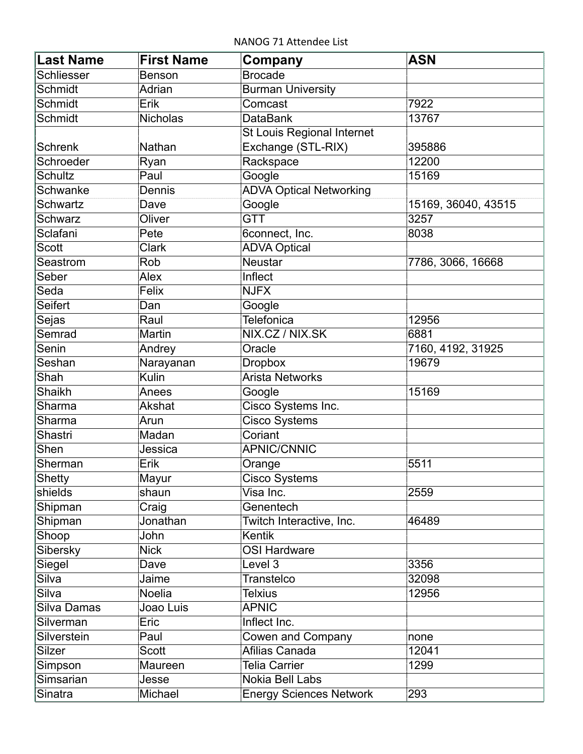NANOG 71 Attendee List

| <b>Last Name</b> | <b>First Name</b> | Company                        | <b>ASN</b>          |
|------------------|-------------------|--------------------------------|---------------------|
| Schliesser       | <b>Benson</b>     | <b>Brocade</b>                 |                     |
| Schmidt          | Adrian            | <b>Burman University</b>       |                     |
| Schmidt          | Erik              | Comcast                        | 7922                |
| Schmidt          | <b>Nicholas</b>   | <b>DataBank</b>                | 13767               |
|                  |                   | St Louis Regional Internet     |                     |
| <b>Schrenk</b>   | Nathan            | Exchange (STL-RIX)             | 395886              |
| Schroeder        | Ryan              | Rackspace                      | 12200               |
| <b>Schultz</b>   | Paul              | Google                         | 15169               |
| Schwanke         | Dennis            | <b>ADVA Optical Networking</b> |                     |
| <b>Schwartz</b>  | Dave              | Google                         | 15169, 36040, 43515 |
| <b>Schwarz</b>   | Oliver            | <b>GTT</b>                     | 3257                |
| Sclafani         | Pete              | 6connect, Inc.                 | 8038                |
| <b>Scott</b>     | <b>Clark</b>      | <b>ADVA Optical</b>            |                     |
| Seastrom         | Rob               | <b>Neustar</b>                 | 7786, 3066, 16668   |
| Seber            | Alex              | Inflect                        |                     |
| Seda             | Felix             | <b>NJFX</b>                    |                     |
| <b>Seifert</b>   | Dan               | Google                         |                     |
| Sejas            | Raul              | <b>Telefonica</b>              | 12956               |
| Semrad           | Martin            | NIX.CZ / NIX.SK                | 6881                |
| Senin            | Andrey            | Oracle                         | 7160, 4192, 31925   |
| Seshan           | Narayanan         | <b>Dropbox</b>                 | 19679               |
| Shah             | Kulin             | <b>Arista Networks</b>         |                     |
| <b>Shaikh</b>    | Anees             | Google                         | 15169               |
| Sharma           | Akshat            | Cisco Systems Inc.             |                     |
| Sharma           | Arun              | <b>Cisco Systems</b>           |                     |
| Shastri          | Madan             | Coriant                        |                     |
| Shen             | Jessica           | <b>APNIC/CNNIC</b>             |                     |
| Sherman          | Erik              | Orange                         | 5511                |
| Shetty           | Mayur             | Cisco Systems                  |                     |
| shields          | shaun             | Visa Inc.                      | 2559                |
| Shipman          | Craig             | Genentech                      |                     |
| Shipman          | Jonathan          | Twitch Interactive, Inc.       | 46489               |
| Shoop            | John              | Kentik                         |                     |
| Sibersky         | <b>Nick</b>       | <b>OSI Hardware</b>            |                     |
| Siegel           | Dave              | Level 3                        | 3356                |
| Silva            | Jaime             | Transtelco                     | 32098               |
| Silva            | Noelia            | <b>Telxius</b>                 | 12956               |
| Silva Damas      | Joao Luis         | <b>APNIC</b>                   |                     |
| Silverman        | Eric              | Inflect Inc.                   |                     |
| Silverstein      | Paul              | Cowen and Company              | none                |
| Silzer           | Scott             | Afilias Canada                 | 12041               |
| Simpson          | Maureen           | <b>Telia Carrier</b>           | 1299                |
| Simsarian        | Jesse             | Nokia Bell Labs                |                     |
| Sinatra          | Michael           | <b>Energy Sciences Network</b> | 293                 |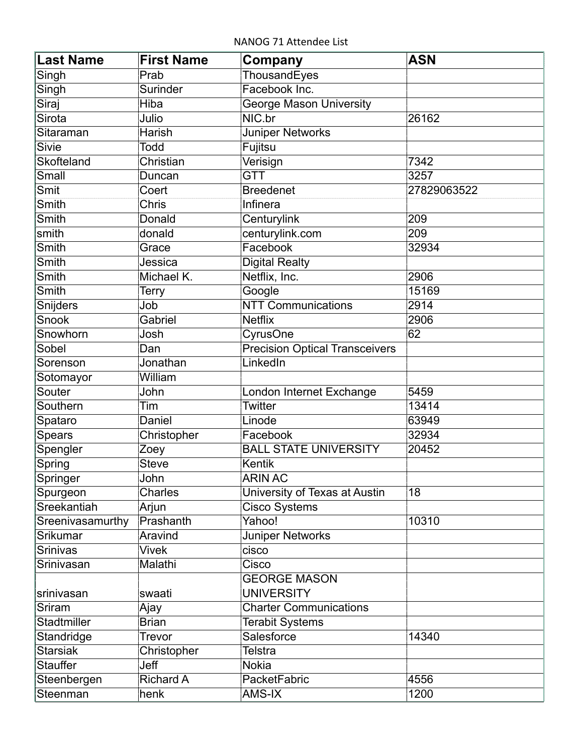NANOG 71 Attendee List

| <b>Last Name</b> | <b>First Name</b> | Company                               | <b>ASN</b>  |
|------------------|-------------------|---------------------------------------|-------------|
| Singh            | Prab              | ThousandEyes                          |             |
| Singh            | Surinder          | Facebook Inc.                         |             |
| Siraj            | Hiba              | <b>George Mason University</b>        |             |
| Sirota           | Julio             | NIC.br                                | 26162       |
| Sitaraman        | Harish            | Juniper Networks                      |             |
| <b>Sivie</b>     | Todd              | Fujitsu                               |             |
| Skofteland       | Christian         | Verisign                              | 7342        |
| Small            | Duncan            | <b>GTT</b>                            | 3257        |
| Smit             | Coert             | <b>Breedenet</b>                      | 27829063522 |
| Smith            | Chris             | <b>Infinera</b>                       |             |
| Smith            | Donald            | Centurylink                           | 209         |
| smith            | donald            | centurylink.com                       | 209         |
| Smith            | Grace             | Facebook                              | 32934       |
| Smith            | Jessica           | <b>Digital Realty</b>                 |             |
| Smith            | Michael K.        | Netflix, Inc.                         | 2906        |
| Smith            | Terry             | Google                                | 15169       |
| Snijders         | Job               | <b>NTT Communications</b>             | 2914        |
| Snook            | Gabriel           | <b>Netflix</b>                        | 2906        |
| Snowhorn         | Josh              | CyrusOne                              | 62          |
| Sobel            | Dan               | <b>Precision Optical Transceivers</b> |             |
| Sorenson         | Jonathan          | LinkedIn                              |             |
| Sotomayor        | William           |                                       |             |
| Souter           | John              | London Internet Exchange              | 5459        |
| Southern         | Tim               | <b>Twitter</b>                        | 13414       |
| Spataro          | Daniel            | Linode                                | 63949       |
| <b>Spears</b>    | Christopher       | Facebook                              | 32934       |
| Spengler         | Zoey              | <b>BALL STATE UNIVERSITY</b>          | 20452       |
| Spring           | <b>Steve</b>      | Kentik                                |             |
| Springer         | John              | <b>ARIN AC</b>                        |             |
| Spurgeon         | Charles           | University of Texas at Austin         | 18          |
| Sreekantiah      | Arjun             | Cisco Systems                         |             |
| Sreenivasamurthy | Prashanth         | Yahoo!                                | 10310       |
| Srikumar         | Aravind           | Juniper Networks                      |             |
| <b>Srinivas</b>  | <b>Vivek</b>      | cisco                                 |             |
| Srinivasan       | Malathi           | Cisco                                 |             |
|                  |                   | <b>GEORGE MASON</b>                   |             |
| srinivasan       | swaati            | <b>UNIVERSITY</b>                     |             |
| Sriram           | Ajay              | <b>Charter Communications</b>         |             |
| Stadtmiller      | <b>Brian</b>      | <b>Terabit Systems</b>                |             |
| Standridge       | Trevor            | Salesforce                            | 14340       |
| <b>Starsiak</b>  | Christopher       | Telstra                               |             |
| <b>Stauffer</b>  | Jeff              | <b>Nokia</b>                          |             |
| Steenbergen      | <b>Richard A</b>  | PacketFabric                          | 4556        |
| Steenman         | henk              | AMS-IX                                | 1200        |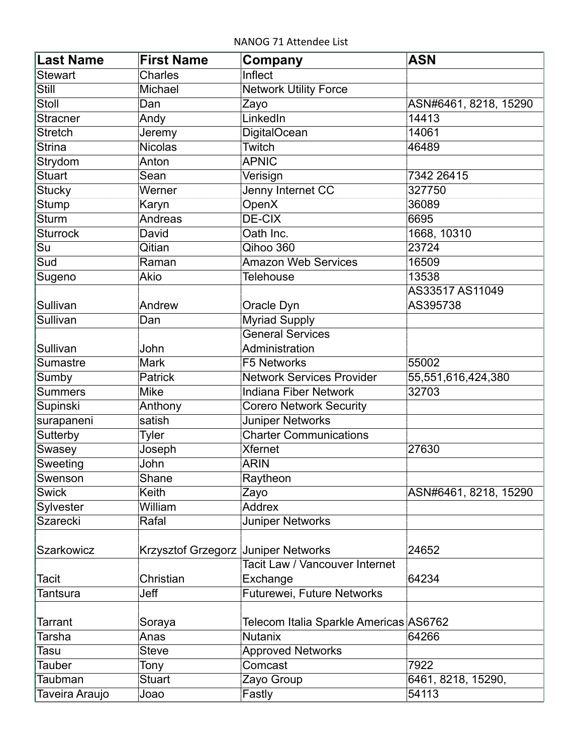NANOG 71 Attendee List

| Last Name       | <b>First Name</b>                   | Company                                | <b>ASN</b>            |
|-----------------|-------------------------------------|----------------------------------------|-----------------------|
| <b>Stewart</b>  | Charles                             | Inflect                                |                       |
| Still           | Michael                             | <b>Network Utility Force</b>           |                       |
| Stoll           | Dan                                 | Zayo                                   | ASN#6461, 8218, 15290 |
| Stracner        | Andy                                | LinkedIn                               | 14413                 |
| <b>Stretch</b>  | Jeremy                              | <b>DigitalOcean</b>                    | 14061                 |
| <b>Strina</b>   | <b>Nicolas</b>                      | Twitch                                 | 46489                 |
| Strydom         | Anton                               | <b>APNIC</b>                           |                       |
| <b>Stuart</b>   | Sean                                | Verisign                               | 7342 26415            |
| <b>Stucky</b>   | Werner                              | Jenny Internet CC                      | 327750                |
| Stump           | Karyn                               | OpenX                                  | 36089                 |
| Sturm           | Andreas                             | DE-CIX                                 | 6695                  |
| <b>Sturrock</b> | David                               | Oath Inc.                              | 1668, 10310           |
| Su              | Qitian                              | Qihoo 360                              | 23724                 |
| Sud             | Raman                               | <b>Amazon Web Services</b>             | 16509                 |
| Sugeno          | Akio                                | <b>Telehouse</b>                       | 13538                 |
|                 |                                     |                                        | AS33517 AS11049       |
| Sullivan        | Andrew                              | Oracle Dyn                             | AS395738              |
| Sullivan        | Dan                                 | <b>Myriad Supply</b>                   |                       |
|                 |                                     | <b>General Services</b>                |                       |
| Sullivan        | John                                | Administration                         |                       |
| <b>Sumastre</b> | <b>Mark</b>                         | F5 Networks                            | 55002                 |
| Sumby           | Patrick                             | <b>Network Services Provider</b>       | 55,551,616,424,380    |
| <b>Summers</b>  | <b>Mike</b>                         | <b>Indiana Fiber Network</b>           | 32703                 |
| Supinski        | Anthony                             | <b>Corero Network Security</b>         |                       |
| surapaneni      | satish                              | Juniper Networks                       |                       |
| Sutterby        | Tyler                               | <b>Charter Communications</b>          |                       |
| Swasey          | Joseph                              | <b>Xfernet</b>                         | 27630                 |
| Sweeting        | John                                | <b>ARIN</b>                            |                       |
| Swenson         | Shane                               | Raytheon                               |                       |
| <b>Swick</b>    | Keith                               | Zayo                                   | ASN#6461, 8218, 15290 |
| Sylvester       | William                             | <b>Addrex</b>                          |                       |
| Szarecki        | Rafal                               | Juniper Networks                       |                       |
|                 |                                     |                                        |                       |
| Szarkowicz      | Krzysztof Grzegorz Juniper Networks |                                        | 24652                 |
|                 |                                     | Tacit Law / Vancouver Internet         |                       |
| Tacit           | Christian                           | Exchange                               | 64234                 |
| Tantsura        | Jeff                                | Futurewei, Future Networks             |                       |
|                 |                                     |                                        |                       |
| Tarrant         | Soraya                              | Telecom Italia Sparkle Americas AS6762 |                       |
| Tarsha          | Anas                                | <b>Nutanix</b>                         | 64266                 |
| Tasu            | <b>Steve</b>                        | <b>Approved Networks</b>               |                       |
| Tauber          | Tony                                | Comcast                                | 7922                  |
| Taubman         | <b>Stuart</b>                       | Zayo Group                             | 6461, 8218, 15290,    |
| Taveira Araujo  | Joao                                | Fastly                                 | 54113                 |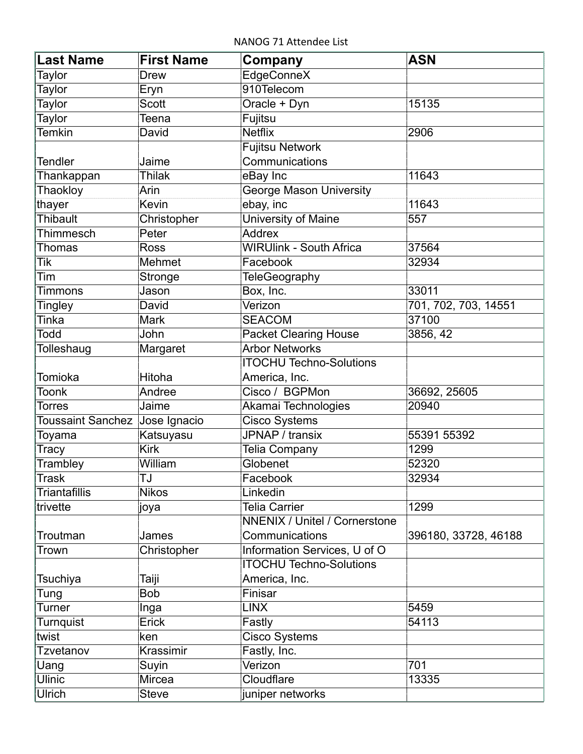NANOG 71 Attendee List

| <b>Last Name</b>         | <b>First Name</b>        | Company                              | <b>ASN</b>           |
|--------------------------|--------------------------|--------------------------------------|----------------------|
| Taylor                   | <b>Drew</b>              | <b>EdgeConneX</b>                    |                      |
| <b>Taylor</b>            | Eryn                     | 910Telecom                           |                      |
| Taylor                   | <b>Scott</b>             | Oracle + Dyn                         | 15135                |
| Taylor                   | Teena                    | Fujitsu                              |                      |
| <b>Temkin</b>            | David                    | <b>Netflix</b>                       | 2906                 |
|                          |                          | Fujitsu Network                      |                      |
| Tendler                  | Jaime                    | Communications                       |                      |
| Thankappan               | <b>Thilak</b>            | eBay Inc                             | 11643                |
| Thaokloy                 | Arin                     | <b>George Mason University</b>       |                      |
| thayer                   | Kevin                    | ebay, inc                            | 11643                |
| Thibault                 | Christopher              | University of Maine                  | 557                  |
| Thimmesch                | Peter                    | <b>Addrex</b>                        |                      |
| <b>Thomas</b>            | <b>Ross</b>              | <b>WIRUlink - South Africa</b>       | 37564                |
| Tik                      | Mehmet                   | Facebook                             | 32934                |
| Tim                      | Stronge                  | <b>TeleGeography</b>                 |                      |
| Timmons                  | Jason                    | Box, Inc.                            | 33011                |
| <b>Tingley</b>           | David                    | Verizon                              | 701, 702, 703, 14551 |
| Tinka                    | <b>Mark</b>              | <b>SEACOM</b>                        | 37100                |
| Todd                     | John                     | <b>Packet Clearing House</b>         | 3856, 42             |
| Tolleshaug               | Margaret                 | <b>Arbor Networks</b>                |                      |
|                          |                          | <b>ITOCHU Techno-Solutions</b>       |                      |
| Tomioka                  | Hitoha                   | America, Inc.                        |                      |
| <b>Toonk</b>             | Andree                   | Cisco / BGPMon                       | 36692, 25605         |
| <b>Torres</b>            | Jaime                    | Akamai Technologies                  | 20940                |
| <b>Toussaint Sanchez</b> | Jose Ignacio             | <b>Cisco Systems</b>                 |                      |
| Toyama                   | Katsuyasu                | JPNAP / transix                      | 55391 55392          |
| <b>Tracy</b>             | <b>Kirk</b>              | <b>Telia Company</b>                 | 1299                 |
| Trambley                 | William                  | Globenet                             | 52320                |
| Trask                    | $\overline{\mathsf{TJ}}$ | Facebook                             | 32934                |
| <b>Triantafillis</b>     | <b>Nikos</b>             | Linkedin                             |                      |
| trivette                 | joya                     | <b>Telia Carrier</b>                 | 1299                 |
|                          |                          | <b>NNENIX / Unitel / Cornerstone</b> |                      |
| Troutman                 | James                    | Communications                       | 396180, 33728, 46188 |
| Trown                    | Christopher              | Information Services, U of O         |                      |
|                          |                          | <b>ITOCHU Techno-Solutions</b>       |                      |
| Tsuchiya                 | Taiji                    | America, Inc.                        |                      |
| Tung                     | <b>Bob</b>               | Finisar                              |                      |
| <b>Turner</b>            | Inga                     | <b>LINX</b>                          | 5459                 |
| Turnquist                | Erick                    | Fastly                               | 54113                |
| twist                    | ken                      | <b>Cisco Systems</b>                 |                      |
| Tzvetanov                | Krassimir                | Fastly, Inc.                         |                      |
| Uang                     | Suyin                    | Verizon                              | 701                  |
| <b>Ulinic</b>            | Mircea                   | Cloudflare                           | 13335                |
| <b>Ulrich</b>            | <b>Steve</b>             | juniper networks                     |                      |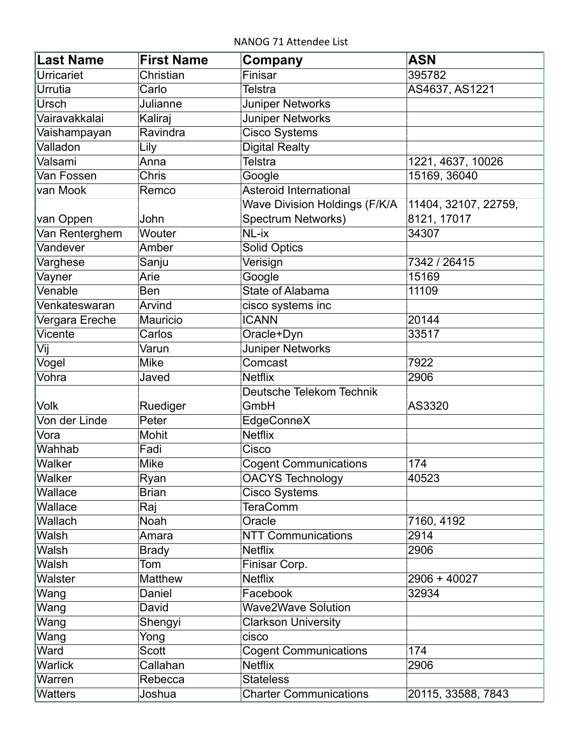NANOG 71 Attendee List

| <b>Last Name</b> | <b>First Name</b> | Company                       | <b>ASN</b>           |
|------------------|-------------------|-------------------------------|----------------------|
| Urricariet       | Christian         | Finisar                       | 395782               |
| Urrutia          | Carlo             | Telstra                       | AS4637, AS1221       |
| Ursch            | Julianne          | Juniper Networks              |                      |
| Vairavakkalai    | Kaliraj           | Juniper Networks              |                      |
| Vaishampayan     | Ravindra          | <b>Cisco Systems</b>          |                      |
| Valladon         | Lily              | <b>Digital Realty</b>         |                      |
| Valsami          | Anna              | <b>Telstra</b>                | 1221, 4637, 10026    |
| Van Fossen       | <b>Chris</b>      | Google                        | 15169, 36040         |
| van Mook         | Remco             | Asteroid International        |                      |
|                  |                   | Wave Division Holdings (F/K/A | 11404, 32107, 22759, |
| van Oppen        | John              | Spectrum Networks)            | 8121, 17017          |
| Van Renterghem   | Wouter            | $\overline{\text{NL}}$ -ix    | 34307                |
| Vandever         | Amber             | Solid Optics                  |                      |
| Varghese         | Sanju             | Verisign                      | 7342 / 26415         |
| Vayner           | Arie              | Google                        | 15169                |
| Venable          | Ben               | State of Alabama              | 11109                |
| Venkateswaran    | Arvind            | cisco systems inc             |                      |
| Vergara Ereche   | Mauricio          | <b>ICANN</b>                  | 20144                |
| Vicente          | Carlos            | Oracle+Dyn                    | 33517                |
| Vij              | Varun             | Juniper Networks              |                      |
| Vogel            | Mike              | Comcast                       | 7922                 |
| Vohra            | Javed             | <b>Netflix</b>                | 2906                 |
|                  |                   | Deutsche Telekom Technik      |                      |
| <b>Volk</b>      | Ruediger          | GmbH                          | AS3320               |
| Von der Linde    | Peter             | EdgeConneX                    |                      |
| Vora             | Mohit             | <b>Netflix</b>                |                      |
| Wahhab           | Fadi              | Cisco                         |                      |
| Walker           | Mike              | <b>Cogent Communications</b>  | 174                  |
| Walker           | Ryan              | <b>OACYS Technology</b>       | 40523                |
| Wallace          | <b>Brian</b>      | <b>Cisco Systems</b>          |                      |
| Wallace          | Raj               | <b>TeraComm</b>               |                      |
| Wallach          | Noah              | Oracle                        | 7160, 4192           |
| Walsh            | Amara             | <b>NTT Communications</b>     | 2914                 |
| Walsh            | <b>Brady</b>      | <b>Netflix</b>                | 2906                 |
| <b>Walsh</b>     | Tom               | Finisar Corp.                 |                      |
| Walster          | <b>Matthew</b>    | <b>Netflix</b>                | 2906 + 40027         |
| Wang             | Daniel            | Facebook                      | 32934                |
| Wang             | David             | <b>Wave2Wave Solution</b>     |                      |
| Wang             | Shengyi           | <b>Clarkson University</b>    |                      |
| Wang             | Yong              | cisco                         |                      |
| Ward             | Scott             | <b>Cogent Communications</b>  | 174                  |
| <b>Warlick</b>   | Callahan          | <b>Netflix</b>                | 2906                 |
| Warren           | Rebecca           | <b>Stateless</b>              |                      |
| <b>Watters</b>   | Joshua            | <b>Charter Communications</b> | 20115, 33588, 7843   |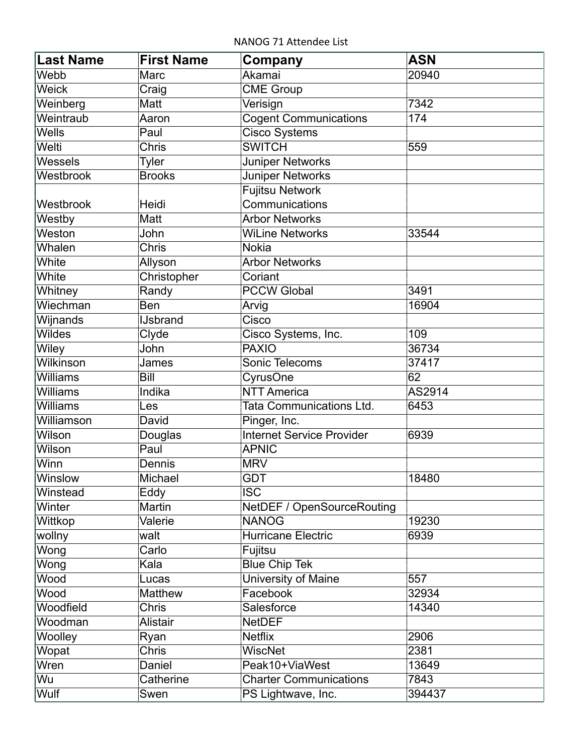NANOG 71 Attendee List

| <b>Last Name</b> | <b>First Name</b> | Company                          | <b>ASN</b> |
|------------------|-------------------|----------------------------------|------------|
| Webb             | Marc              | Akamai                           | 20940      |
| <b>Weick</b>     | Craig             | <b>CME Group</b>                 |            |
| Weinberg         | Matt              | Verisign                         | 7342       |
| Weintraub        | Aaron             | <b>Cogent Communications</b>     | 174        |
| <b>Wells</b>     | Paul              | Cisco Systems                    |            |
| Welti            | <b>Chris</b>      | <b>SWITCH</b>                    | 559        |
| Wessels          | Tyler             | <b>Juniper Networks</b>          |            |
| Westbrook        | <b>Brooks</b>     | <b>Juniper Networks</b>          |            |
|                  |                   | <b>Fujitsu Network</b>           |            |
| Westbrook        | Heidi             | Communications                   |            |
| Westby           | Matt              | <b>Arbor Networks</b>            |            |
| Weston           | John              | <b>WiLine Networks</b>           | 33544      |
| Whalen           | Chris             | <b>Nokia</b>                     |            |
| White            | Allyson           | <b>Arbor Networks</b>            |            |
| White            | Christopher       | Coriant                          |            |
| Whitney          | Randy             | <b>PCCW Global</b>               | 3491       |
| Wiechman         | Ben               | Arvig                            | 16904      |
| Wijnands         | <b>IJsbrand</b>   | Cisco                            |            |
| <b>Wildes</b>    | Clyde             | Cisco Systems, Inc.              | 109        |
| <b>Wiley</b>     | John              | <b>PAXIO</b>                     | 36734      |
| Wilkinson        | James             | Sonic Telecoms                   | 37417      |
| <b>Williams</b>  | Bill              | CyrusOne                         | 62         |
| <b>Williams</b>  | Indika            | <b>NTT America</b>               | AS2914     |
| <b>Williams</b>  | Les               | Tata Communications Ltd.         | 6453       |
| Williamson       | David             | Pinger, Inc.                     |            |
| Wilson           | Douglas           | <b>Internet Service Provider</b> | 6939       |
| Wilson           | Paul              | <b>APNIC</b>                     |            |
| Winn             | Dennis            | <b>MRV</b>                       |            |
| Winslow          | Michael           | <b>GDT</b>                       | 18480      |
| Winstead         | Eddy              | <b>ISC</b>                       |            |
| Winter           | Martin            | NetDEF / OpenSourceRouting       |            |
| Wittkop          | Valerie           | <b>NANOG</b>                     | 19230      |
| wollny           | walt              | <b>Hurricane Electric</b>        | 6939       |
| Wong             | Carlo             | Fujitsu                          |            |
| Wong             | Kala              | <b>Blue Chip Tek</b>             |            |
| Wood             | Lucas             | University of Maine              | 557        |
| Wood             | Matthew           | Facebook                         | 32934      |
| Woodfield        | Chris             | Salesforce                       | 14340      |
| Woodman          | Alistair          | <b>NetDEF</b>                    |            |
| Woolley          | Ryan              | <b>Netflix</b>                   | 2906       |
| Wopat            | Chris             | WiscNet                          | 2381       |
| Wren             | Daniel            | Peak10+ViaWest                   | 13649      |
| Wu               | Catherine         | <b>Charter Communications</b>    | 7843       |
| <b>Wulf</b>      | Swen              | PS Lightwave, Inc.               | 394437     |